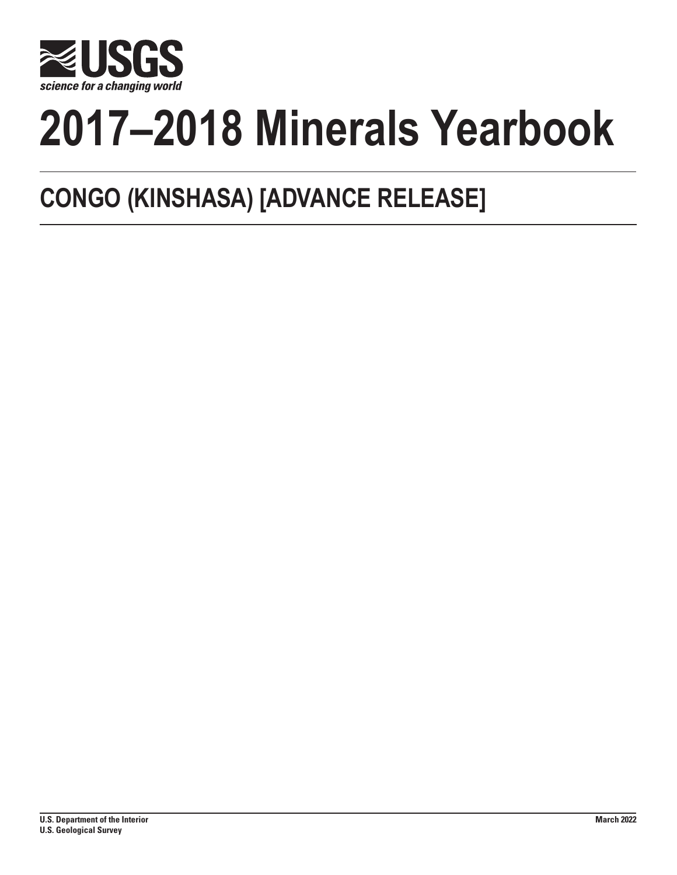

# **2017–2018 Minerals Yearbook**

# **CONGO (KINSHASA) [ADVANCE RELEASE]**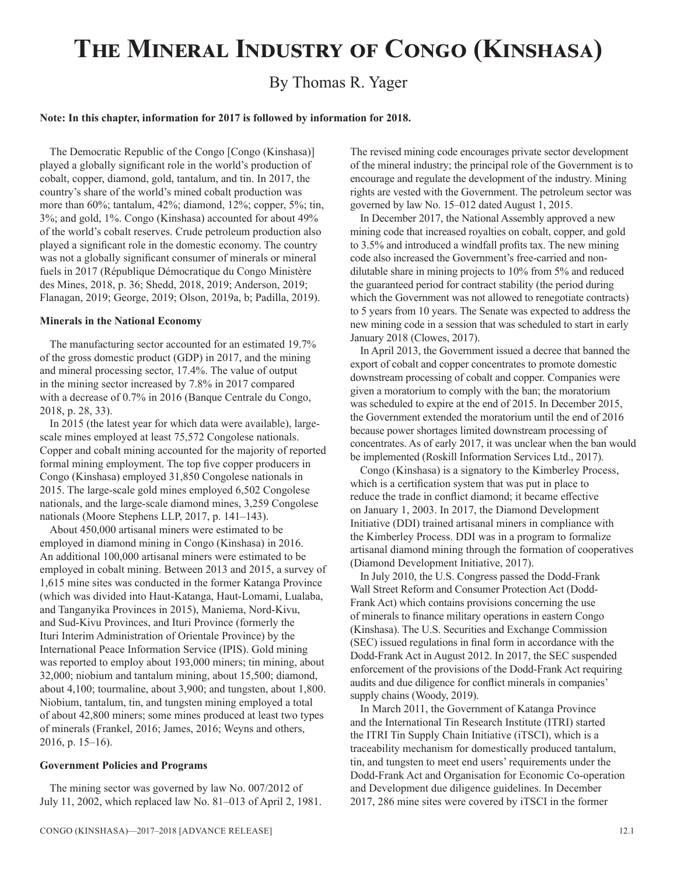# **The Mineral Industry of Congo (Kinshasa)**

# By Thomas R. Yager

#### **Note: In this chapter, information for 2017 is followed by information for 2018.**

The Democratic Republic of the Congo [Congo (Kinshasa)] played a globally significant role in the world's production of cobalt, copper, diamond, gold, tantalum, and tin. In 2017, the country's share of the world's mined cobalt production was more than 60%; tantalum, 42%; diamond, 12%; copper, 5%; tin, 3%; and gold, 1%. Congo (Kinshasa) accounted for about 49% of the world's cobalt reserves. Crude petroleum production also played a significant role in the domestic economy. The country was not a globally significant consumer of minerals or mineral fuels in 2017 (République Démocratique du Congo Ministère des Mines, 2018, p. 36; Shedd, 2018, 2019; Anderson, 2019; Flanagan, 2019; George, 2019; Olson, 2019a, b; Padilla, 2019).

#### **Minerals in the National Economy**

The manufacturing sector accounted for an estimated 19.7% of the gross domestic product (GDP) in 2017, and the mining and mineral processing sector, 17.4%. The value of output in the mining sector increased by 7.8% in 2017 compared with a decrease of 0.7% in 2016 (Banque Centrale du Congo, 2018, p. 28, 33).

In 2015 (the latest year for which data were available), largescale mines employed at least 75,572 Congolese nationals. Copper and cobalt mining accounted for the majority of reported formal mining employment. The top five copper producers in Congo (Kinshasa) employed 31,850 Congolese nationals in 2015. The large-scale gold mines employed 6,502 Congolese nationals, and the large-scale diamond mines, 3,259 Congolese nationals (Moore Stephens LLP, 2017, p. 141–143).

About 450,000 artisanal miners were estimated to be employed in diamond mining in Congo (Kinshasa) in 2016. An additional 100,000 artisanal miners were estimated to be employed in cobalt mining. Between 2013 and 2015, a survey of 1,615 mine sites was conducted in the former Katanga Province (which was divided into Haut-Katanga, Haut-Lomami, Lualaba, and Tanganyika Provinces in 2015), Maniema, Nord-Kivu, and Sud-Kivu Provinces, and Ituri Province (formerly the Ituri Interim Administration of Orientale Province) by the International Peace Information Service (IPIS). Gold mining was reported to employ about 193,000 miners; tin mining, about 32,000; niobium and tantalum mining, about 15,500; diamond, about 4,100; tourmaline, about 3,900; and tungsten, about 1,800. Niobium, tantalum, tin, and tungsten mining employed a total of about 42,800 miners; some mines produced at least two types of minerals (Frankel, 2016; James, 2016; Weyns and others, 2016, p. 15–16).

## **Government Policies and Programs**

The mining sector was governed by law No. 007/2012 of July 11, 2002, which replaced law No. 81–013 of April 2, 1981. The revised mining code encourages private sector development of the mineral industry; the principal role of the Government is to encourage and regulate the development of the industry. Mining rights are vested with the Government. The petroleum sector was governed by law No. 15–012 dated August 1, 2015.

In December 2017, the National Assembly approved a new mining code that increased royalties on cobalt, copper, and gold to 3.5% and introduced a windfall profits tax. The new mining code also increased the Government's free-carried and nondilutable share in mining projects to 10% from 5% and reduced the guaranteed period for contract stability (the period during which the Government was not allowed to renegotiate contracts) to 5 years from 10 years. The Senate was expected to address the new mining code in a session that was scheduled to start in early January 2018 (Clowes, 2017).

In April 2013, the Government issued a decree that banned the export of cobalt and copper concentrates to promote domestic downstream processing of cobalt and copper. Companies were given a moratorium to comply with the ban; the moratorium was scheduled to expire at the end of 2015. In December 2015, the Government extended the moratorium until the end of 2016 because power shortages limited downstream processing of concentrates. As of early 2017, it was unclear when the ban would be implemented (Roskill Information Services Ltd., 2017).

Congo (Kinshasa) is a signatory to the Kimberley Process, which is a certification system that was put in place to reduce the trade in conflict diamond; it became effective on January 1, 2003. In 2017, the Diamond Development Initiative (DDI) trained artisanal miners in compliance with the Kimberley Process. DDI was in a program to formalize artisanal diamond mining through the formation of cooperatives (Diamond Development Initiative, 2017).

In July 2010, the U.S. Congress passed the Dodd-Frank Wall Street Reform and Consumer Protection Act (Dodd-Frank Act) which contains provisions concerning the use of minerals to finance military operations in eastern Congo (Kinshasa). The U.S. Securities and Exchange Commission (SEC) issued regulations in final form in accordance with the Dodd-Frank Act in August 2012. In 2017, the SEC suspended enforcement of the provisions of the Dodd-Frank Act requiring audits and due diligence for conflict minerals in companies' supply chains (Woody, 2019).

In March 2011, the Government of Katanga Province and the International Tin Research Institute (ITRI) started the ITRI Tin Supply Chain Initiative (iTSCI), which is a traceability mechanism for domestically produced tantalum, tin, and tungsten to meet end users' requirements under the Dodd-Frank Act and Organisation for Economic Co-operation and Development due diligence guidelines. In December 2017, 286 mine sites were covered by iTSCI in the former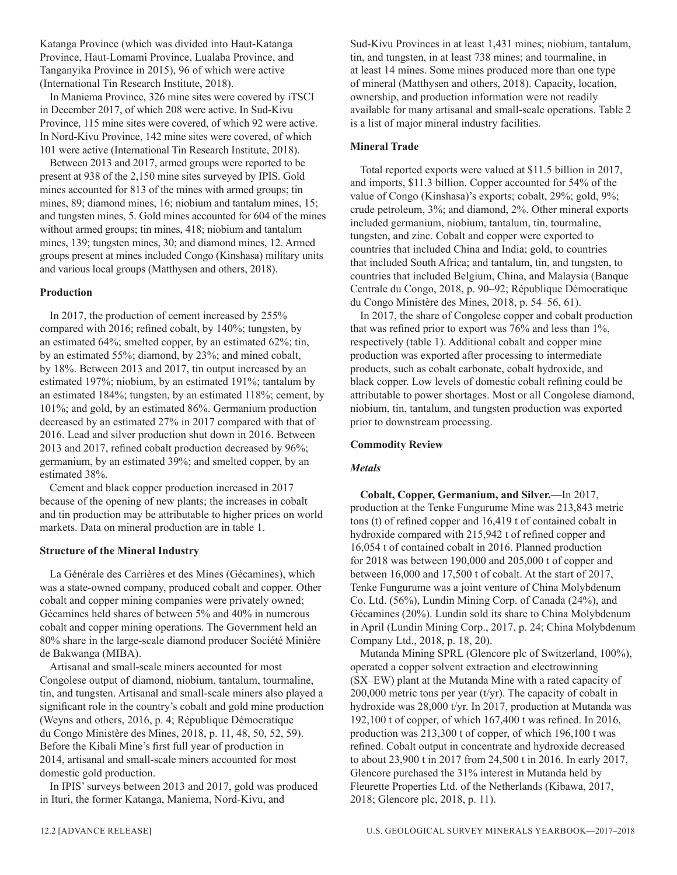Katanga Province (which was divided into Haut-Katanga Province, Haut-Lomami Province, Lualaba Province, and Tanganyika Province in 2015), 96 of which were active (International Tin Research Institute, 2018).

In Maniema Province, 326 mine sites were covered by iTSCI in December 2017, of which 208 were active. In Sud-Kivu Province, 115 mine sites were covered, of which 92 were active. In Nord-Kivu Province, 142 mine sites were covered, of which 101 were active (International Tin Research Institute, 2018).

Between 2013 and 2017, armed groups were reported to be present at 938 of the 2,150 mine sites surveyed by IPIS. Gold mines accounted for 813 of the mines with armed groups; tin mines, 89; diamond mines, 16; niobium and tantalum mines, 15; and tungsten mines, 5. Gold mines accounted for 604 of the mines without armed groups; tin mines, 418; niobium and tantalum mines, 139; tungsten mines, 30; and diamond mines, 12. Armed groups present at mines included Congo (Kinshasa) military units and various local groups (Matthysen and others, 2018).

# **Production**

In 2017, the production of cement increased by 255% compared with 2016; refined cobalt, by 140%; tungsten, by an estimated 64%; smelted copper, by an estimated 62%; tin, by an estimated 55%; diamond, by 23%; and mined cobalt, by 18%. Between 2013 and 2017, tin output increased by an estimated 197%; niobium, by an estimated 191%; tantalum by an estimated 184%; tungsten, by an estimated 118%; cement, by 101%; and gold, by an estimated 86%. Germanium production decreased by an estimated 27% in 2017 compared with that of 2016. Lead and silver production shut down in 2016. Between 2013 and 2017, refined cobalt production decreased by 96%; germanium, by an estimated 39%; and smelted copper, by an estimated 38%.

Cement and black copper production increased in 2017 because of the opening of new plants; the increases in cobalt and tin production may be attributable to higher prices on world markets. Data on mineral production are in table 1.

# **Structure of the Mineral Industry**

La Générale des Carrières et des Mines (Gécamines), which was a state-owned company, produced cobalt and copper. Other cobalt and copper mining companies were privately owned; Gécamines held shares of between 5% and 40% in numerous cobalt and copper mining operations. The Government held an 80% share in the large-scale diamond producer Société Minière de Bakwanga (MIBA).

Artisanal and small-scale miners accounted for most Congolese output of diamond, niobium, tantalum, tourmaline, tin, and tungsten. Artisanal and small-scale miners also played a significant role in the country's cobalt and gold mine production (Weyns and others, 2016, p. 4; République Démocratique du Congo Ministère des Mines, 2018, p. 11, 48, 50, 52, 59). Before the Kibali Mine's first full year of production in 2014, artisanal and small-scale miners accounted for most domestic gold production.

In IPIS' surveys between 2013 and 2017, gold was produced in Ituri, the former Katanga, Maniema, Nord-Kivu, and

Sud-Kivu Provinces in at least 1,431 mines; niobium, tantalum, tin, and tungsten, in at least 738 mines; and tourmaline, in at least 14 mines. Some mines produced more than one type of mineral (Matthysen and others, 2018). Capacity, location, ownership, and production information were not readily available for many artisanal and small-scale operations. Table 2 is a list of major mineral industry facilities.

# **Mineral Trade**

Total reported exports were valued at \$11.5 billion in 2017, and imports, \$11.3 billion. Copper accounted for 54% of the value of Congo (Kinshasa)'s exports; cobalt, 29%; gold, 9%; crude petroleum, 3%; and diamond, 2%. Other mineral exports included germanium, niobium, tantalum, tin, tourmaline, tungsten, and zinc. Cobalt and copper were exported to countries that included China and India; gold, to countries that included South Africa; and tantalum, tin, and tungsten, to countries that included Belgium, China, and Malaysia (Banque Centrale du Congo, 2018, p. 90–92; République Démocratique du Congo Ministère des Mines, 2018, p. 54–56, 61).

In 2017, the share of Congolese copper and cobalt production that was refined prior to export was 76% and less than 1%, respectively (table 1). Additional cobalt and copper mine production was exported after processing to intermediate products, such as cobalt carbonate, cobalt hydroxide, and black copper. Low levels of domestic cobalt refining could be attributable to power shortages. Most or all Congolese diamond, niobium, tin, tantalum, and tungsten production was exported prior to downstream processing.

# **Commodity Review**

# *Metals*

**Cobalt, Copper, Germanium, and Silver.**—In 2017, production at the Tenke Fungurume Mine was 213,843 metric tons (t) of refined copper and 16,419 t of contained cobalt in hydroxide compared with 215,942 t of refined copper and 16,054 t of contained cobalt in 2016. Planned production for 2018 was between 190,000 and 205,000 t of copper and between 16,000 and 17,500 t of cobalt. At the start of 2017, Tenke Fungurume was a joint venture of China Molybdenum Co. Ltd. (56%), Lundin Mining Corp. of Canada (24%), and Gécamines (20%). Lundin sold its share to China Molybdenum in April (Lundin Mining Corp., 2017, p. 24; China Molybdenum Company Ltd., 2018, p. 18, 20).

Mutanda Mining SPRL (Glencore plc of Switzerland, 100%), operated a copper solvent extraction and electrowinning (SX–EW) plant at the Mutanda Mine with a rated capacity of 200,000 metric tons per year (t/yr). The capacity of cobalt in hydroxide was 28,000 t/yr. In 2017, production at Mutanda was 192,100 t of copper, of which 167,400 t was refined. In 2016, production was 213,300 t of copper, of which 196,100 t was refined. Cobalt output in concentrate and hydroxide decreased to about 23,900 t in 2017 from 24,500 t in 2016. In early 2017, Glencore purchased the 31% interest in Mutanda held by Fleurette Properties Ltd. of the Netherlands (Kibawa, 2017, 2018; Glencore plc, 2018, p. 11).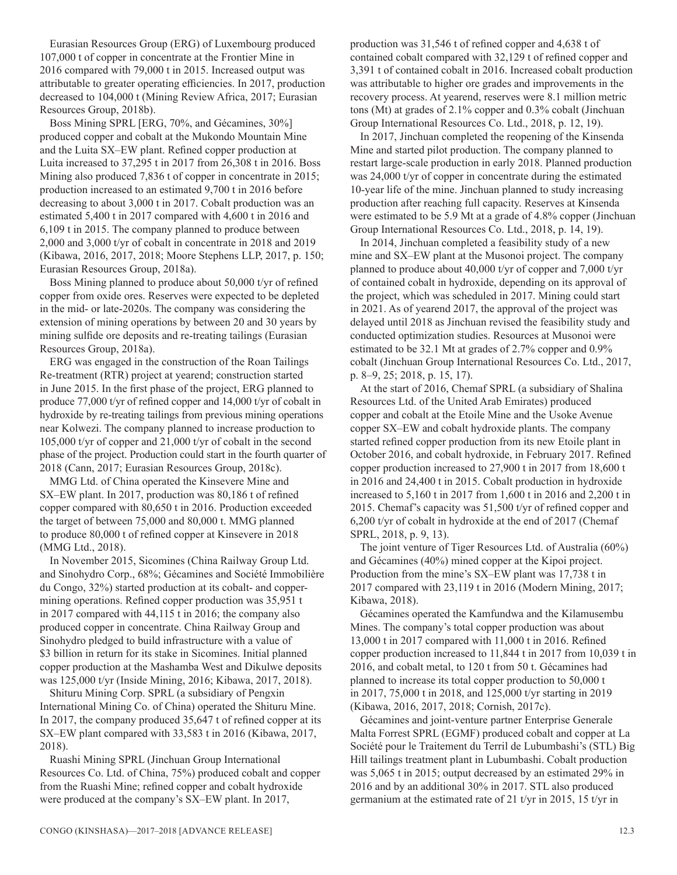Eurasian Resources Group (ERG) of Luxembourg produced 107,000 t of copper in concentrate at the Frontier Mine in 2016 compared with 79,000 t in 2015. Increased output was attributable to greater operating efficiencies. In 2017, production decreased to 104,000 t (Mining Review Africa, 2017; Eurasian Resources Group, 2018b).

Boss Mining SPRL [ERG, 70%, and Gécamines, 30%] produced copper and cobalt at the Mukondo Mountain Mine and the Luita SX–EW plant. Refined copper production at Luita increased to 37,295 t in 2017 from 26,308 t in 2016. Boss Mining also produced 7,836 t of copper in concentrate in 2015; production increased to an estimated 9,700 t in 2016 before decreasing to about 3,000 t in 2017. Cobalt production was an estimated 5,400 t in 2017 compared with 4,600 t in 2016 and 6,109 t in 2015. The company planned to produce between 2,000 and 3,000 t/yr of cobalt in concentrate in 2018 and 2019 (Kibawa, 2016, 2017, 2018; Moore Stephens LLP, 2017, p. 150; Eurasian Resources Group, 2018a).

Boss Mining planned to produce about 50,000 t/yr of refined copper from oxide ores. Reserves were expected to be depleted in the mid- or late-2020s. The company was considering the extension of mining operations by between 20 and 30 years by mining sulfide ore deposits and re-treating tailings (Eurasian Resources Group, 2018a).

ERG was engaged in the construction of the Roan Tailings Re-treatment (RTR) project at yearend; construction started in June 2015. In the first phase of the project, ERG planned to produce 77,000 t/yr of refined copper and 14,000 t/yr of cobalt in hydroxide by re-treating tailings from previous mining operations near Kolwezi. The company planned to increase production to 105,000 t/yr of copper and 21,000 t/yr of cobalt in the second phase of the project. Production could start in the fourth quarter of 2018 (Cann, 2017; Eurasian Resources Group, 2018c).

MMG Ltd. of China operated the Kinsevere Mine and SX–EW plant. In 2017, production was 80,186 t of refined copper compared with 80,650 t in 2016. Production exceeded the target of between 75,000 and 80,000 t. MMG planned to produce 80,000 t of refined copper at Kinsevere in 2018 (MMG Ltd., 2018).

In November 2015, Sicomines (China Railway Group Ltd. and Sinohydro Corp., 68%; Gécamines and Société Immobilière du Congo, 32%) started production at its cobalt- and coppermining operations. Refined copper production was 35,951 t in 2017 compared with 44,115 t in 2016; the company also produced copper in concentrate. China Railway Group and Sinohydro pledged to build infrastructure with a value of \$3 billion in return for its stake in Sicomines. Initial planned copper production at the Mashamba West and Dikulwe deposits was 125,000 t/yr (Inside Mining, 2016; Kibawa, 2017, 2018).

Shituru Mining Corp. SPRL (a subsidiary of Pengxin International Mining Co. of China) operated the Shituru Mine. In 2017, the company produced 35,647 t of refined copper at its SX–EW plant compared with 33,583 t in 2016 (Kibawa, 2017, 2018).

Ruashi Mining SPRL (Jinchuan Group International Resources Co. Ltd. of China, 75%) produced cobalt and copper from the Ruashi Mine; refined copper and cobalt hydroxide were produced at the company's SX–EW plant. In 2017,

production was 31,546 t of refined copper and 4,638 t of contained cobalt compared with 32,129 t of refined copper and 3,391 t of contained cobalt in 2016. Increased cobalt production was attributable to higher ore grades and improvements in the recovery process. At yearend, reserves were 8.1 million metric tons (Mt) at grades of 2.1% copper and 0.3% cobalt (Jinchuan Group International Resources Co. Ltd., 2018, p. 12, 19).

In 2017, Jinchuan completed the reopening of the Kinsenda Mine and started pilot production. The company planned to restart large-scale production in early 2018. Planned production was 24,000 t/yr of copper in concentrate during the estimated 10-year life of the mine. Jinchuan planned to study increasing production after reaching full capacity. Reserves at Kinsenda were estimated to be 5.9 Mt at a grade of 4.8% copper (Jinchuan Group International Resources Co. Ltd., 2018, p. 14, 19).

In 2014, Jinchuan completed a feasibility study of a new mine and SX–EW plant at the Musonoi project. The company planned to produce about 40,000 t/yr of copper and 7,000 t/yr of contained cobalt in hydroxide, depending on its approval of the project, which was scheduled in 2017. Mining could start in 2021. As of yearend 2017, the approval of the project was delayed until 2018 as Jinchuan revised the feasibility study and conducted optimization studies. Resources at Musonoi were estimated to be 32.1 Mt at grades of 2.7% copper and 0.9% cobalt (Jinchuan Group International Resources Co. Ltd., 2017, p. 8–9, 25; 2018, p. 15, 17).

At the start of 2016, Chemaf SPRL (a subsidiary of Shalina Resources Ltd. of the United Arab Emirates) produced copper and cobalt at the Etoile Mine and the Usoke Avenue copper SX–EW and cobalt hydroxide plants. The company started refined copper production from its new Etoile plant in October 2016, and cobalt hydroxide, in February 2017. Refined copper production increased to 27,900 t in 2017 from 18,600 t in 2016 and 24,400 t in 2015. Cobalt production in hydroxide increased to 5,160 t in 2017 from 1,600 t in 2016 and 2,200 t in 2015. Chemaf's capacity was 51,500 t/yr of refined copper and 6,200 t/yr of cobalt in hydroxide at the end of 2017 (Chemaf SPRL, 2018, p. 9, 13).

The joint venture of Tiger Resources Ltd. of Australia (60%) and Gécamines (40%) mined copper at the Kipoi project. Production from the mine's SX–EW plant was 17,738 t in 2017 compared with 23,119 t in 2016 (Modern Mining, 2017; Kibawa, 2018).

Gécamines operated the Kamfundwa and the Kilamusembu Mines. The company's total copper production was about 13,000 t in 2017 compared with 11,000 t in 2016. Refined copper production increased to 11,844 t in 2017 from 10,039 t in 2016, and cobalt metal, to 120 t from 50 t. Gécamines had planned to increase its total copper production to 50,000 t in 2017, 75,000 t in 2018, and 125,000 t/yr starting in 2019 (Kibawa, 2016, 2017, 2018; Cornish, 2017c).

Gécamines and joint-venture partner Enterprise Generale Malta Forrest SPRL (EGMF) produced cobalt and copper at La Société pour le Traitement du Terril de Lubumbashi's (STL) Big Hill tailings treatment plant in Lubumbashi. Cobalt production was 5,065 t in 2015; output decreased by an estimated 29% in 2016 and by an additional 30% in 2017. STL also produced germanium at the estimated rate of 21 t/yr in 2015, 15 t/yr in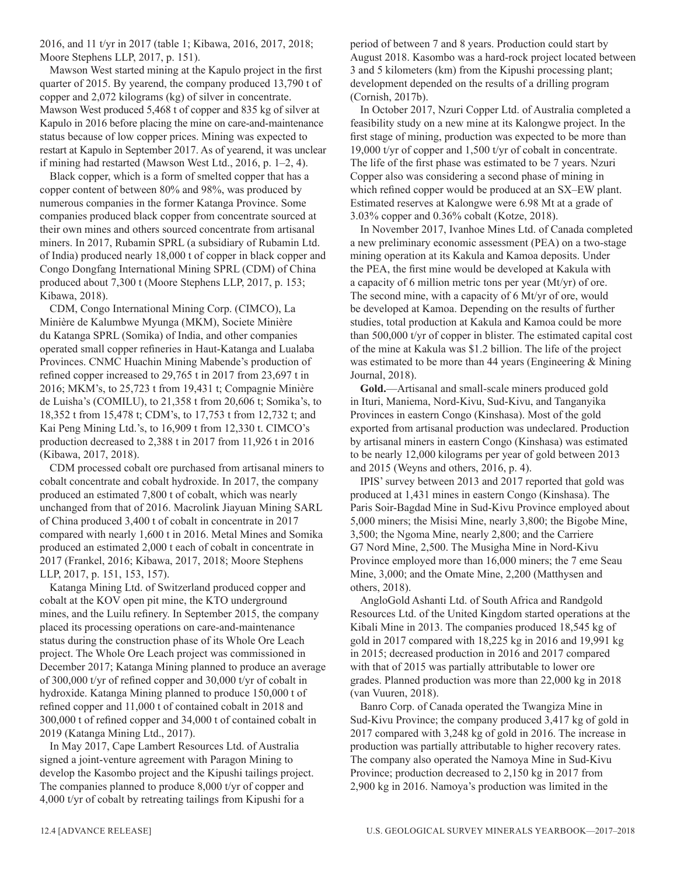2016, and 11 t/yr in 2017 (table 1; Kibawa, 2016, 2017, 2018; Moore Stephens LLP, 2017, p. 151).

Mawson West started mining at the Kapulo project in the first quarter of 2015. By yearend, the company produced 13,790 t of copper and 2,072 kilograms (kg) of silver in concentrate. Mawson West produced 5,468 t of copper and 835 kg of silver at Kapulo in 2016 before placing the mine on care-and-maintenance status because of low copper prices. Mining was expected to restart at Kapulo in September 2017. As of yearend, it was unclear if mining had restarted (Mawson West Ltd., 2016, p. 1–2, 4).

Black copper, which is a form of smelted copper that has a copper content of between 80% and 98%, was produced by numerous companies in the former Katanga Province. Some companies produced black copper from concentrate sourced at their own mines and others sourced concentrate from artisanal miners. In 2017, Rubamin SPRL (a subsidiary of Rubamin Ltd. of India) produced nearly 18,000 t of copper in black copper and Congo Dongfang International Mining SPRL (CDM) of China produced about 7,300 t (Moore Stephens LLP, 2017, p. 153; Kibawa, 2018).

CDM, Congo International Mining Corp. (CIMCO), La Minière de Kalumbwe Myunga (MKM), Societe Minière du Katanga SPRL (Somika) of India, and other companies operated small copper refineries in Haut-Katanga and Lualaba Provinces. CNMC Huachin Mining Mabende's production of refined copper increased to 29,765 t in 2017 from 23,697 t in 2016; MKM's, to 25,723 t from 19,431 t; Compagnie Minière de Luisha's (COMILU), to 21,358 t from 20,606 t; Somika's, to 18,352 t from 15,478 t; CDM's, to 17,753 t from 12,732 t; and Kai Peng Mining Ltd.'s, to 16,909 t from 12,330 t. CIMCO's production decreased to 2,388 t in 2017 from 11,926 t in 2016 (Kibawa, 2017, 2018).

CDM processed cobalt ore purchased from artisanal miners to cobalt concentrate and cobalt hydroxide. In 2017, the company produced an estimated 7,800 t of cobalt, which was nearly unchanged from that of 2016. Macrolink Jiayuan Mining SARL of China produced 3,400 t of cobalt in concentrate in 2017 compared with nearly 1,600 t in 2016. Metal Mines and Somika produced an estimated 2,000 t each of cobalt in concentrate in 2017 (Frankel, 2016; Kibawa, 2017, 2018; Moore Stephens LLP, 2017, p. 151, 153, 157).

Katanga Mining Ltd. of Switzerland produced copper and cobalt at the KOV open pit mine, the KTO underground mines, and the Luilu refinery. In September 2015, the company placed its processing operations on care-and-maintenance status during the construction phase of its Whole Ore Leach project. The Whole Ore Leach project was commissioned in December 2017; Katanga Mining planned to produce an average of 300,000 t/yr of refined copper and 30,000 t/yr of cobalt in hydroxide. Katanga Mining planned to produce 150,000 t of refined copper and 11,000 t of contained cobalt in 2018 and 300,000 t of refined copper and 34,000 t of contained cobalt in 2019 (Katanga Mining Ltd., 2017).

In May 2017, Cape Lambert Resources Ltd. of Australia signed a joint-venture agreement with Paragon Mining to develop the Kasombo project and the Kipushi tailings project. The companies planned to produce 8,000 t/yr of copper and 4,000 t/yr of cobalt by retreating tailings from Kipushi for a

period of between 7 and 8 years. Production could start by August 2018. Kasombo was a hard-rock project located between 3 and 5 kilometers (km) from the Kipushi processing plant; development depended on the results of a drilling program (Cornish, 2017b).

In October 2017, Nzuri Copper Ltd. of Australia completed a feasibility study on a new mine at its Kalongwe project. In the first stage of mining, production was expected to be more than 19,000 t/yr of copper and 1,500 t/yr of cobalt in concentrate. The life of the first phase was estimated to be 7 years. Nzuri Copper also was considering a second phase of mining in which refined copper would be produced at an SX–EW plant. Estimated reserves at Kalongwe were 6.98 Mt at a grade of 3.03% copper and 0.36% cobalt (Kotze, 2018).

In November 2017, Ivanhoe Mines Ltd. of Canada completed a new preliminary economic assessment (PEA) on a two-stage mining operation at its Kakula and Kamoa deposits. Under the PEA, the first mine would be developed at Kakula with a capacity of 6 million metric tons per year (Mt/yr) of ore. The second mine, with a capacity of 6 Mt/yr of ore, would be developed at Kamoa. Depending on the results of further studies, total production at Kakula and Kamoa could be more than 500,000 t/yr of copper in blister. The estimated capital cost of the mine at Kakula was \$1.2 billion. The life of the project was estimated to be more than 44 years (Engineering & Mining Journal, 2018).

**Gold.**—Artisanal and small-scale miners produced gold in Ituri, Maniema, Nord-Kivu, Sud-Kivu, and Tanganyika Provinces in eastern Congo (Kinshasa). Most of the gold exported from artisanal production was undeclared. Production by artisanal miners in eastern Congo (Kinshasa) was estimated to be nearly 12,000 kilograms per year of gold between 2013 and 2015 (Weyns and others, 2016, p. 4).

IPIS' survey between 2013 and 2017 reported that gold was produced at 1,431 mines in eastern Congo (Kinshasa). The Paris Soir-Bagdad Mine in Sud-Kivu Province employed about 5,000 miners; the Misisi Mine, nearly 3,800; the Bigobe Mine, 3,500; the Ngoma Mine, nearly 2,800; and the Carriere G7 Nord Mine, 2,500. The Musigha Mine in Nord-Kivu Province employed more than 16,000 miners; the 7 eme Seau Mine, 3,000; and the Omate Mine, 2,200 (Matthysen and others, 2018).

AngloGold Ashanti Ltd. of South Africa and Randgold Resources Ltd. of the United Kingdom started operations at the Kibali Mine in 2013. The companies produced 18,545 kg of gold in 2017 compared with 18,225 kg in 2016 and 19,991 kg in 2015; decreased production in 2016 and 2017 compared with that of 2015 was partially attributable to lower ore grades. Planned production was more than 22,000 kg in 2018 (van Vuuren, 2018).

Banro Corp. of Canada operated the Twangiza Mine in Sud-Kivu Province; the company produced 3,417 kg of gold in 2017 compared with 3,248 kg of gold in 2016. The increase in production was partially attributable to higher recovery rates. The company also operated the Namoya Mine in Sud-Kivu Province; production decreased to 2,150 kg in 2017 from 2,900 kg in 2016. Namoya's production was limited in the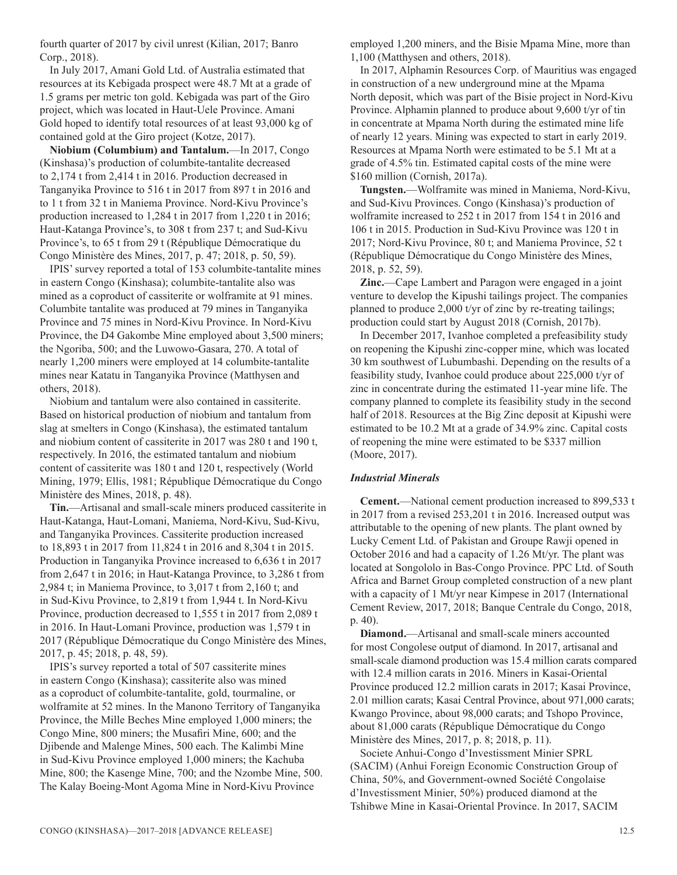fourth quarter of 2017 by civil unrest (Kilian, 2017; Banro Corp., 2018).

In July 2017, Amani Gold Ltd. of Australia estimated that resources at its Kebigada prospect were 48.7 Mt at a grade of 1.5 grams per metric ton gold. Kebigada was part of the Giro project, which was located in Haut-Uele Province. Amani Gold hoped to identify total resources of at least 93,000 kg of contained gold at the Giro project (Kotze, 2017).

**Niobium (Columbium) and Tantalum.**—In 2017, Congo (Kinshasa)'s production of columbite-tantalite decreased to 2,174 t from 2,414 t in 2016. Production decreased in Tanganyika Province to 516 t in 2017 from 897 t in 2016 and to 1 t from 32 t in Maniema Province. Nord-Kivu Province's production increased to 1,284 t in 2017 from 1,220 t in 2016; Haut-Katanga Province's, to 308 t from 237 t; and Sud-Kivu Province's, to 65 t from 29 t (République Démocratique du Congo Ministère des Mines, 2017, p. 47; 2018, p. 50, 59).

IPIS' survey reported a total of 153 columbite-tantalite mines in eastern Congo (Kinshasa); columbite-tantalite also was mined as a coproduct of cassiterite or wolframite at 91 mines. Columbite tantalite was produced at 79 mines in Tanganyika Province and 75 mines in Nord-Kivu Province. In Nord-Kivu Province, the D4 Gakombe Mine employed about 3,500 miners; the Ngoriba, 500; and the Luwowo-Gasara, 270. A total of nearly 1,200 miners were employed at 14 columbite-tantalite mines near Katatu in Tanganyika Province (Matthysen and others, 2018).

Niobium and tantalum were also contained in cassiterite. Based on historical production of niobium and tantalum from slag at smelters in Congo (Kinshasa), the estimated tantalum and niobium content of cassiterite in 2017 was 280 t and 190 t, respectively. In 2016, the estimated tantalum and niobium content of cassiterite was 180 t and 120 t, respectively (World Mining, 1979; Ellis, 1981; République Démocratique du Congo Ministère des Mines, 2018, p. 48).

**Tin.**—Artisanal and small-scale miners produced cassiterite in Haut-Katanga, Haut-Lomani, Maniema, Nord-Kivu, Sud-Kivu, and Tanganyika Provinces. Cassiterite production increased to 18,893 t in 2017 from 11,824 t in 2016 and 8,304 t in 2015. Production in Tanganyika Province increased to 6,636 t in 2017 from 2,647 t in 2016; in Haut-Katanga Province, to 3,286 t from 2,984 t; in Maniema Province, to 3,017 t from 2,160 t; and in Sud-Kivu Province, to 2,819 t from 1,944 t. In Nord-Kivu Province, production decreased to 1,555 t in 2017 from 2,089 t in 2016. In Haut-Lomani Province, production was 1,579 t in 2017 (République Démocratique du Congo Ministère des Mines, 2017, p. 45; 2018, p. 48, 59).

IPIS's survey reported a total of 507 cassiterite mines in eastern Congo (Kinshasa); cassiterite also was mined as a coproduct of columbite-tantalite, gold, tourmaline, or wolframite at 52 mines. In the Manono Territory of Tanganyika Province, the Mille Beches Mine employed 1,000 miners; the Congo Mine, 800 miners; the Musafiri Mine, 600; and the Djibende and Malenge Mines, 500 each. The Kalimbi Mine in Sud-Kivu Province employed 1,000 miners; the Kachuba Mine, 800; the Kasenge Mine, 700; and the Nzombe Mine, 500. The Kalay Boeing-Mont Agoma Mine in Nord-Kivu Province

employed 1,200 miners, and the Bisie Mpama Mine, more than 1,100 (Matthysen and others, 2018).

In 2017, Alphamin Resources Corp. of Mauritius was engaged in construction of a new underground mine at the Mpama North deposit, which was part of the Bisie project in Nord-Kivu Province. Alphamin planned to produce about 9,600 t/yr of tin in concentrate at Mpama North during the estimated mine life of nearly 12 years. Mining was expected to start in early 2019. Resources at Mpama North were estimated to be 5.1 Mt at a grade of 4.5% tin. Estimated capital costs of the mine were \$160 million (Cornish, 2017a).

**Tungsten.**—Wolframite was mined in Maniema, Nord-Kivu, and Sud-Kivu Provinces. Congo (Kinshasa)'s production of wolframite increased to 252 t in 2017 from 154 t in 2016 and 106 t in 2015. Production in Sud-Kivu Province was 120 t in 2017; Nord-Kivu Province, 80 t; and Maniema Province, 52 t (République Démocratique du Congo Ministère des Mines, 2018, p. 52, 59).

**Zinc.**—Cape Lambert and Paragon were engaged in a joint venture to develop the Kipushi tailings project. The companies planned to produce 2,000 t/yr of zinc by re-treating tailings; production could start by August 2018 (Cornish, 2017b).

In December 2017, Ivanhoe completed a prefeasibility study on reopening the Kipushi zinc-copper mine, which was located 30 km southwest of Lubumbashi. Depending on the results of a feasibility study, Ivanhoe could produce about 225,000 t/yr of zinc in concentrate during the estimated 11-year mine life. The company planned to complete its feasibility study in the second half of 2018. Resources at the Big Zinc deposit at Kipushi were estimated to be 10.2 Mt at a grade of 34.9% zinc. Capital costs of reopening the mine were estimated to be \$337 million (Moore, 2017).

# *Industrial Minerals*

**Cement.**—National cement production increased to 899,533 t in 2017 from a revised 253,201 t in 2016. Increased output was attributable to the opening of new plants. The plant owned by Lucky Cement Ltd. of Pakistan and Groupe Rawji opened in October 2016 and had a capacity of 1.26 Mt/yr. The plant was located at Songololo in Bas-Congo Province. PPC Ltd. of South Africa and Barnet Group completed construction of a new plant with a capacity of 1 Mt/yr near Kimpese in 2017 (International Cement Review, 2017, 2018; Banque Centrale du Congo, 2018, p. 40).

**Diamond.**—Artisanal and small-scale miners accounted for most Congolese output of diamond. In 2017, artisanal and small-scale diamond production was 15.4 million carats compared with 12.4 million carats in 2016. Miners in Kasai-Oriental Province produced 12.2 million carats in 2017; Kasai Province, 2.01 million carats; Kasai Central Province, about 971,000 carats; Kwango Province, about 98,000 carats; and Tshopo Province, about 81,000 carats (République Démocratique du Congo Ministère des Mines, 2017, p. 8; 2018, p. 11).

Societe Anhui-Congo d'Investissment Minier SPRL (SACIM) (Anhui Foreign Economic Construction Group of China, 50%, and Government-owned Société Congolaise d'Investissment Minier, 50%) produced diamond at the Tshibwe Mine in Kasai-Oriental Province. In 2017, SACIM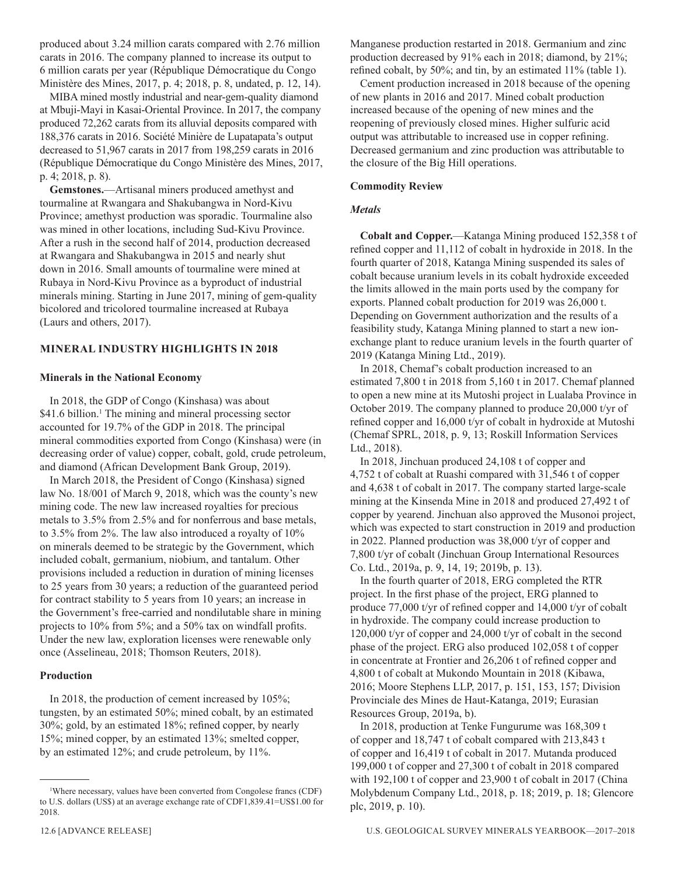produced about 3.24 million carats compared with 2.76 million carats in 2016. The company planned to increase its output to 6 million carats per year (République Démocratique du Congo Ministère des Mines, 2017, p. 4; 2018, p. 8, undated, p. 12, 14).

MIBA mined mostly industrial and near-gem-quality diamond at Mbuji-Mayi in Kasai-Oriental Province. In 2017, the company produced 72,262 carats from its alluvial deposits compared with 188,376 carats in 2016. Société Minière de Lupatapata's output decreased to 51,967 carats in 2017 from 198,259 carats in 2016 (République Démocratique du Congo Ministère des Mines, 2017, p. 4; 2018, p. 8).

**Gemstones.**—Artisanal miners produced amethyst and tourmaline at Rwangara and Shakubangwa in Nord-Kivu Province; amethyst production was sporadic. Tourmaline also was mined in other locations, including Sud-Kivu Province. After a rush in the second half of 2014, production decreased at Rwangara and Shakubangwa in 2015 and nearly shut down in 2016. Small amounts of tourmaline were mined at Rubaya in Nord-Kivu Province as a byproduct of industrial minerals mining. Starting in June 2017, mining of gem-quality bicolored and tricolored tourmaline increased at Rubaya (Laurs and others, 2017).

# **MINERAL INDUSTRY HIGHLIGHTS IN 2018**

# **Minerals in the National Economy**

In 2018, the GDP of Congo (Kinshasa) was about \$41.6 billion.<sup>1</sup> The mining and mineral processing sector accounted for 19.7% of the GDP in 2018. The principal mineral commodities exported from Congo (Kinshasa) were (in decreasing order of value) copper, cobalt, gold, crude petroleum, and diamond (African Development Bank Group, 2019).

In March 2018, the President of Congo (Kinshasa) signed law No. 18/001 of March 9, 2018, which was the county's new mining code. The new law increased royalties for precious metals to 3.5% from 2.5% and for nonferrous and base metals, to 3.5% from 2%. The law also introduced a royalty of 10% on minerals deemed to be strategic by the Government, which included cobalt, germanium, niobium, and tantalum. Other provisions included a reduction in duration of mining licenses to 25 years from 30 years; a reduction of the guaranteed period for contract stability to 5 years from 10 years; an increase in the Government's free-carried and nondilutable share in mining projects to 10% from 5%; and a 50% tax on windfall profits. Under the new law, exploration licenses were renewable only once (Asselineau, 2018; Thomson Reuters, 2018).

#### **Production**

In 2018, the production of cement increased by 105%; tungsten, by an estimated 50%; mined cobalt, by an estimated 30%; gold, by an estimated 18%; refined copper, by nearly 15%; mined copper, by an estimated 13%; smelted copper, by an estimated 12%; and crude petroleum, by 11%.

Manganese production restarted in 2018. Germanium and zinc production decreased by 91% each in 2018; diamond, by 21%; refined cobalt, by 50%; and tin, by an estimated 11% (table 1).

Cement production increased in 2018 because of the opening of new plants in 2016 and 2017. Mined cobalt production increased because of the opening of new mines and the reopening of previously closed mines. Higher sulfuric acid output was attributable to increased use in copper refining. Decreased germanium and zinc production was attributable to the closure of the Big Hill operations.

## **Commodity Review**

# *Metals*

**Cobalt and Copper.**—Katanga Mining produced 152,358 t of refined copper and 11,112 of cobalt in hydroxide in 2018. In the fourth quarter of 2018, Katanga Mining suspended its sales of cobalt because uranium levels in its cobalt hydroxide exceeded the limits allowed in the main ports used by the company for exports. Planned cobalt production for 2019 was 26,000 t. Depending on Government authorization and the results of a feasibility study, Katanga Mining planned to start a new ionexchange plant to reduce uranium levels in the fourth quarter of 2019 (Katanga Mining Ltd., 2019).

In 2018, Chemaf's cobalt production increased to an estimated 7,800 t in 2018 from 5,160 t in 2017. Chemaf planned to open a new mine at its Mutoshi project in Lualaba Province in October 2019. The company planned to produce 20,000 t/yr of refined copper and 16,000 t/yr of cobalt in hydroxide at Mutoshi (Chemaf SPRL, 2018, p. 9, 13; Roskill Information Services Ltd., 2018).

In 2018, Jinchuan produced 24,108 t of copper and 4,752 t of cobalt at Ruashi compared with 31,546 t of copper and 4,638 t of cobalt in 2017. The company started large-scale mining at the Kinsenda Mine in 2018 and produced 27,492 t of copper by yearend. Jinchuan also approved the Musonoi project, which was expected to start construction in 2019 and production in 2022. Planned production was 38,000 t/yr of copper and 7,800 t/yr of cobalt (Jinchuan Group International Resources Co. Ltd., 2019a, p. 9, 14, 19; 2019b, p. 13).

In the fourth quarter of 2018, ERG completed the RTR project. In the first phase of the project, ERG planned to produce 77,000 t/yr of refined copper and 14,000 t/yr of cobalt in hydroxide. The company could increase production to 120,000 t/yr of copper and 24,000 t/yr of cobalt in the second phase of the project. ERG also produced 102,058 t of copper in concentrate at Frontier and 26,206 t of refined copper and 4,800 t of cobalt at Mukondo Mountain in 2018 (Kibawa, 2016; Moore Stephens LLP, 2017, p. 151, 153, 157; Division Provinciale des Mines de Haut-Katanga, 2019; Eurasian Resources Group, 2019a, b).

In 2018, production at Tenke Fungurume was 168,309 t of copper and 18,747 t of cobalt compared with 213,843 t of copper and 16,419 t of cobalt in 2017. Mutanda produced 199,000 t of copper and 27,300 t of cobalt in 2018 compared with 192,100 t of copper and 23,900 t of cobalt in 2017 (China Molybdenum Company Ltd., 2018, p. 18; 2019, p. 18; Glencore plc, 2019, p. 10).

<sup>1</sup> Where necessary, values have been converted from Congolese francs (CDF) to U.S. dollars (US\$) at an average exchange rate of CDF1,839.41=US\$1.00 for 2018.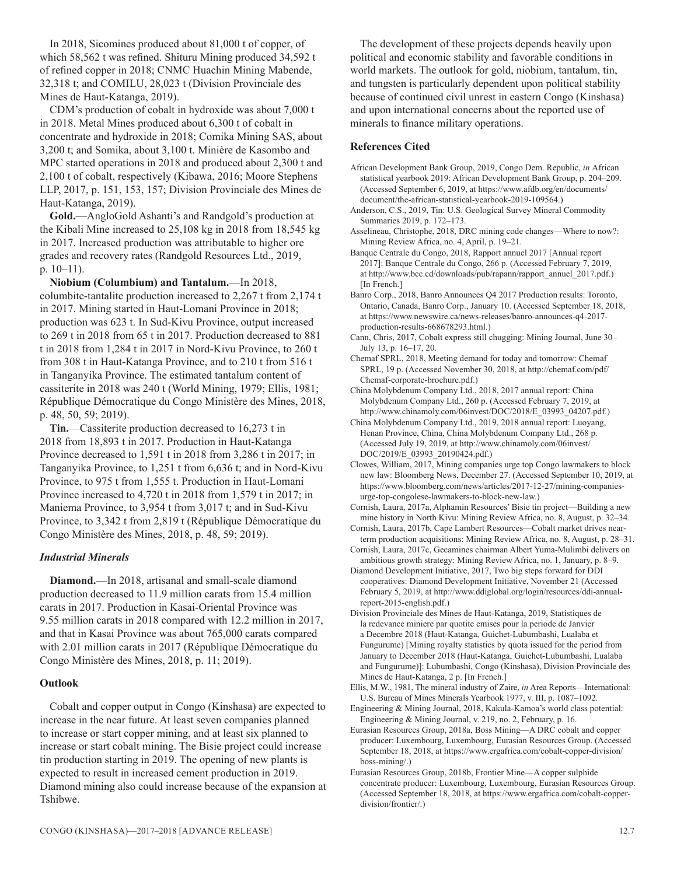In 2018, Sicomines produced about 81,000 t of copper, of which 58,562 t was refined. Shituru Mining produced 34,592 t of refined copper in 2018; CNMC Huachin Mining Mabende, 32,318 t; and COMILU, 28,023 t (Division Provinciale des Mines de Haut-Katanga, 2019).

CDM's production of cobalt in hydroxide was about 7,000 t in 2018. Metal Mines produced about 6,300 t of cobalt in concentrate and hydroxide in 2018; Comika Mining SAS, about 3,200 t; and Somika, about 3,100 t. Minière de Kasombo and MPC started operations in 2018 and produced about 2,300 t and 2,100 t of cobalt, respectively (Kibawa, 2016; Moore Stephens LLP, 2017, p. 151, 153, 157; Division Provinciale des Mines de Haut-Katanga, 2019).

**Gold.**—AngloGold Ashanti's and Randgold's production at the Kibali Mine increased to 25,108 kg in 2018 from 18,545 kg in 2017. Increased production was attributable to higher ore grades and recovery rates (Randgold Resources Ltd., 2019, p. 10–11).

**Niobium (Columbium) and Tantalum.**—In 2018, columbite-tantalite production increased to 2,267 t from 2,174 t in 2017. Mining started in Haut-Lomani Province in 2018; production was 623 t. In Sud-Kivu Province, output increased to 269 t in 2018 from 65 t in 2017. Production decreased to 881 t in 2018 from 1,284 t in 2017 in Nord-Kivu Province, to 260 t from 308 t in Haut-Katanga Province, and to 210 t from 516 t in Tanganyika Province. The estimated tantalum content of cassiterite in 2018 was 240 t (World Mining, 1979; Ellis, 1981; République Démocratique du Congo Ministère des Mines, 2018, p. 48, 50, 59; 2019).

**Tin.**—Cassiterite production decreased to 16,273 t in 2018 from 18,893 t in 2017. Production in Haut-Katanga Province decreased to 1,591 t in 2018 from 3,286 t in 2017; in Tanganyika Province, to 1,251 t from 6,636 t; and in Nord-Kivu Province, to 975 t from 1,555 t. Production in Haut-Lomani Province increased to 4,720 t in 2018 from 1,579 t in 2017; in Maniema Province, to 3,954 t from 3,017 t; and in Sud-Kivu Province, to 3,342 t from 2,819 t (République Démocratique du Congo Ministère des Mines, 2018, p. 48, 59; 2019).

# *Industrial Minerals*

**Diamond.**—In 2018, artisanal and small-scale diamond production decreased to 11.9 million carats from 15.4 million carats in 2017. Production in Kasai-Oriental Province was 9.55 million carats in 2018 compared with 12.2 million in 2017, and that in Kasai Province was about 765,000 carats compared with 2.01 million carats in 2017 (République Démocratique du Congo Ministère des Mines, 2018, p. 11; 2019).

# **Outlook**

Cobalt and copper output in Congo (Kinshasa) are expected to increase in the near future. At least seven companies planned to increase or start copper mining, and at least six planned to increase or start cobalt mining. The Bisie project could increase tin production starting in 2019. The opening of new plants is expected to result in increased cement production in 2019. Diamond mining also could increase because of the expansion at Tshibwe.

The development of these projects depends heavily upon political and economic stability and favorable conditions in world markets. The outlook for gold, niobium, tantalum, tin, and tungsten is particularly dependent upon political stability because of continued civil unrest in eastern Congo (Kinshasa) and upon international concerns about the reported use of minerals to finance military operations.

# **References Cited**

- African Development Bank Group, 2019, Congo Dem. Republic, *in* African statistical yearbook 2019: African Development Bank Group, p. 204–209. (Accessed September 6, 2019, at https://www.afdb.org/en/documents/ document/the-african-statistical-yearbook-2019-109564.)
- Anderson, C.S., 2019, Tin: U.S. Geological Survey Mineral Commodity Summaries 2019, p. 172–173.
- Asselineau, Christophe, 2018, DRC mining code changes—Where to now?: Mining Review Africa, no. 4, April, p. 19–21.

Banque Centrale du Congo, 2018, Rapport annuel 2017 [Annual report 2017]: Banque Centrale du Congo, 266 p. (Accessed February 7, 2019, at http://www.bcc.cd/downloads/pub/rapann/rapport\_annuel\_2017.pdf.) [In French.]

Banro Corp., 2018, Banro Announces Q4 2017 Production results: Toronto, Ontario, Canada, Banro Corp., January 10. (Accessed September 18, 2018, at https://www.newswire.ca/news-releases/banro-announces-q4-2017 production-results-668678293.html.)

Cann, Chris, 2017, Cobalt express still chugging: Mining Journal, June 30– July 13, p. 16–17, 20.

Chemaf SPRL, 2018, Meeting demand for today and tomorrow: Chemaf SPRL, 19 p. (Accessed November 30, 2018, at http://chemaf.com/pdf/ Chemaf-corporate-brochure.pdf.)

China Molybdenum Company Ltd., 2018, 2017 annual report: China Molybdenum Company Ltd., 260 p. (Accessed February 7, 2019, at http://www.chinamoly.com/06invest/DOC/2018/E\_03993\_04207.pdf.)

China Molybdenum Company Ltd., 2019, 2018 annual report: Luoyang, Henan Province, China, China Molybdenum Company Ltd., 268 p. (Accessed July 19, 2019, at http://www.chinamoly.com/06invest/ DOC/2019/E\_03993\_20190424.pdf.)

Clowes, William, 2017, Mining companies urge top Congo lawmakers to block new law: Bloomberg News, December 27. (Accessed September 10, 2019, at https://www.bloomberg.com/news/articles/2017-12-27/mining-companiesurge-top-congolese-lawmakers-to-block-new-law.)

Cornish, Laura, 2017a, Alphamin Resources' Bisie tin project—Building a new mine history in North Kivu: Mining Review Africa, no. 8, August, p. 32–34.

Cornish, Laura, 2017b, Cape Lambert Resources—Cobalt market drives nearterm production acquisitions: Mining Review Africa, no. 8, August, p. 28–31.

Cornish, Laura, 2017c, Gecamines chairman Albert Yuma-Mulimbi delivers on ambitious growth strategy: Mining Review Africa, no. 1, January, p. 8–9.

Diamond Development Initiative, 2017, Two big steps forward for DDI cooperatives: Diamond Development Initiative, November 21 (Accessed February 5, 2019, at http://www.ddiglobal.org/login/resources/ddi-annualreport-2015-english.pdf.)

Division Provinciale des Mines de Haut-Katanga, 2019, Statistiques de la redevance miniere par quotite emises pour la periode de Janvier a Decembre 2018 (Haut-Katanga, Guichet-Lubumbashi, Lualaba et Fungurume) [Mining royalty statistics by quota issued for the period from January to December 2018 (Haut-Katanga, Guichet-Lubumbashi, Lualaba and Fungurume)]: Lubumbashi, Congo (Kinshasa), Division Provinciale des Mines de Haut-Katanga, 2 p. [In French.]

Ellis, M.W., 1981, The mineral industry of Zaire, *in* Area Reports—International: U.S. Bureau of Mines Minerals Yearbook 1977, v. III, p. 1087–1092.

Engineering & Mining Journal, 2018, Kakula-Kamoa's world class potential: Engineering & Mining Journal, v. 219, no. 2, February, p. 16.

Eurasian Resources Group, 2018a, Boss Mining—A DRC cobalt and copper producer: Luxembourg, Luxembourg, Eurasian Resources Group. (Accessed September 18, 2018, at https://www.ergafrica.com/cobalt-copper-division/ boss-mining/.)

Eurasian Resources Group, 2018b, Frontier Mine—A copper sulphide concentrate producer: Luxembourg, Luxembourg, Eurasian Resources Group. (Accessed September 18, 2018, at https://www.ergafrica.com/cobalt-copperdivision/frontier/.)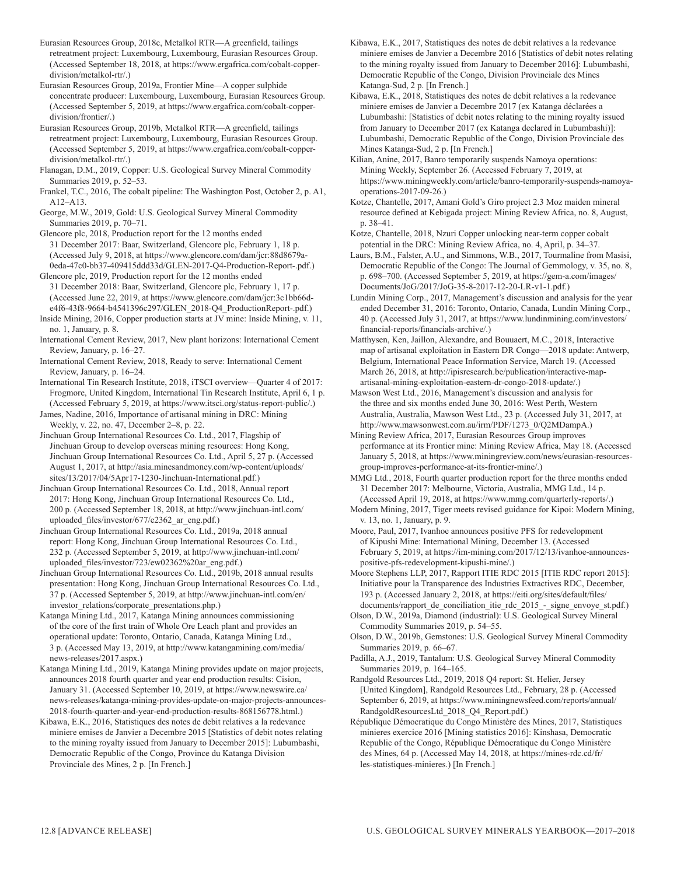Eurasian Resources Group, 2018c, Metalkol RTR—A greenfield, tailings retreatment project: Luxembourg, Luxembourg, Eurasian Resources Group. (Accessed September 18, 2018, at https://www.ergafrica.com/cobalt-copperdivision/metalkol-rtr/.)

Eurasian Resources Group, 2019a, Frontier Mine—A copper sulphide concentrate producer: Luxembourg, Luxembourg, Eurasian Resources Group. (Accessed September 5, 2019, at https://www.ergafrica.com/cobalt-copperdivision/frontier/.)

Eurasian Resources Group, 2019b, Metalkol RTR—A greenfield, tailings retreatment project: Luxembourg, Luxembourg, Eurasian Resources Group. (Accessed September 5, 2019, at https://www.ergafrica.com/cobalt-copperdivision/metalkol-rtr/.)

Flanagan, D.M., 2019, Copper: U.S. Geological Survey Mineral Commodity Summaries 2019, p. 52–53.

Frankel, T.C., 2016, The cobalt pipeline: The Washington Post, October 2, p. A1, A12–A13.

George, M.W., 2019, Gold: U.S. Geological Survey Mineral Commodity Summaries 2019, p. 70–71.

Glencore plc, 2018, Production report for the 12 months ended 31 December 2017: Baar, Switzerland, Glencore plc, February 1, 18 p. (Accessed July 9, 2018, at https://www.glencore.com/dam/jcr:88d8679a-0eda-47c0-bb37-409415ddd33d/GLEN-2017-Q4-Production-Report-.pdf.) Glencore plc, 2019, Production report for the 12 months ended

31 December 2018: Baar, Switzerland, Glencore plc, February 1, 17 p. (Accessed June 22, 2019, at https://www.glencore.com/dam/jcr:3c1bb66de4f6-43f8-9664-b4541396c297/GLEN\_2018-Q4\_ProductionReport-.pdf.)

Inside Mining, 2016, Copper production starts at JV mine: Inside Mining, v. 11, no. 1, January, p. 8.

International Cement Review, 2017, New plant horizons: International Cement Review, January, p. 16–27.

International Cement Review, 2018, Ready to serve: International Cement Review, January, p. 16–24.

International Tin Research Institute, 2018, iTSCI overview—Quarter 4 of 2017: Frogmore, United Kingdom, International Tin Research Institute, April 6, 1 p. (Accessed February 5, 2019, at https://www.itsci.org/status-report-public/.)

James, Nadine, 2016, Importance of artisanal mining in DRC: Mining Weekly, v. 22, no. 47, December 2–8, p. 22.

Jinchuan Group International Resources Co. Ltd., 2017, Flagship of Jinchuan Group to develop overseas mining resources: Hong Kong, Jinchuan Group International Resources Co. Ltd., April 5, 27 p. (Accessed August 1, 2017, at http://asia.minesandmoney.com/wp-content/uploads/ sites/13/2017/04/5Apr17-1230-Jinchuan-International.pdf.)

Jinchuan Group International Resources Co. Ltd., 2018, Annual report 2017: Hong Kong, Jinchuan Group International Resources Co. Ltd., 200 p. (Accessed September 18, 2018, at http://www.jinchuan-intl.com/ uploaded files/investor/677/e2362 ar eng.pdf.)

Jinchuan Group International Resources Co. Ltd., 2019a, 2018 annual report: Hong Kong, Jinchuan Group International Resources Co. Ltd., 232 p. (Accessed September 5, 2019, at http://www.jinchuan-intl.com/ uploaded\_files/investor/723/ew02362%20ar\_eng.pdf.)

Jinchuan Group International Resources Co. Ltd., 2019b, 2018 annual results presentation: Hong Kong, Jinchuan Group International Resources Co. Ltd., 37 p. (Accessed September 5, 2019, at http://www.jinchuan-intl.com/en/ investor\_relations/corporate\_presentations.php.)

Katanga Mining Ltd., 2017, Katanga Mining announces commissioning of the core of the first train of Whole Ore Leach plant and provides an operational update: Toronto, Ontario, Canada, Katanga Mining Ltd., 3 p. (Accessed May 13, 2019, at http://www.katangamining.com/media/ news-releases/2017.aspx.)

Katanga Mining Ltd., 2019, Katanga Mining provides update on major projects, announces 2018 fourth quarter and year end production results: Cision, January 31. (Accessed September 10, 2019, at https://www.newswire.ca/ news-releases/katanga-mining-provides-update-on-major-projects-announces-2018-fourth-quarter-and-year-end-production-results-868156778.html.)

Kibawa, E.K., 2016, Statistiques des notes de debit relatives a la redevance miniere emises de Janvier a Decembre 2015 [Statistics of debit notes relating to the mining royalty issued from January to December 2015]: Lubumbashi, Democratic Republic of the Congo, Province du Katanga Division Provinciale des Mines, 2 p. [In French.]

Kibawa, E.K., 2017, Statistiques des notes de debit relatives a la redevance miniere emises de Janvier a Decembre 2016 [Statistics of debit notes relating to the mining royalty issued from January to December 2016]: Lubumbashi, Democratic Republic of the Congo, Division Provinciale des Mines Katanga-Sud, 2 p. [In French.]

Kibawa, E.K., 2018, Statistiques des notes de debit relatives a la redevance miniere emises de Janvier a Decembre 2017 (ex Katanga déclarées a Lubumbashi: [Statistics of debit notes relating to the mining royalty issued from January to December 2017 (ex Katanga declared in Lubumbashi)]: Lubumbashi, Democratic Republic of the Congo, Division Provinciale des Mines Katanga-Sud, 2 p. [In French.]

Kilian, Anine, 2017, Banro temporarily suspends Namoya operations: Mining Weekly, September 26. (Accessed February 7, 2019, at https://www.miningweekly.com/article/banro-temporarily-suspends-namoyaoperations-2017-09-26.)

Kotze, Chantelle, 2017, Amani Gold's Giro project 2.3 Moz maiden mineral resource defined at Kebigada project: Mining Review Africa, no. 8, August, p. 38–41.

Kotze, Chantelle, 2018, Nzuri Copper unlocking near-term copper cobalt potential in the DRC: Mining Review Africa, no. 4, April, p. 34–37.

Laurs, B.M., Falster, A.U., and Simmons, W.B., 2017, Tourmaline from Masisi, Democratic Republic of the Congo: The Journal of Gemmology, v. 35, no. 8, p. 698–700. (Accessed September 5, 2019, at https://gem-a.com/images/ Documents/JoG/2017/JoG-35-8-2017-12-20-LR-v1-1.pdf.)

Lundin Mining Corp., 2017, Management's discussion and analysis for the year ended December 31, 2016: Toronto, Ontario, Canada, Lundin Mining Corp., 40 p. (Accessed July 31, 2017, at https://www.lundinmining.com/investors/ financial-reports/financials-archive/.)

Matthysen, Ken, Jaillon, Alexandre, and Bouuaert, M.C., 2018, Interactive map of artisanal exploitation in Eastern DR Congo—2018 update: Antwerp, Belgium, International Peace Information Service, March 19. (Accessed March 26, 2018, at http://ipisresearch.be/publication/interactive-mapartisanal-mining-exploitation-eastern-dr-congo-2018-update/.)

Mawson West Ltd., 2016, Management's discussion and analysis for the three and six months ended June 30, 2016: West Perth, Western Australia, Australia, Mawson West Ltd., 23 p. (Accessed July 31, 2017, at http://www.mawsonwest.com.au/irm/PDF/1273\_0/Q2MDampA.)

Mining Review Africa, 2017, Eurasian Resources Group improves performance at its Frontier mine: Mining Review Africa, May 18. (Accessed January 5, 2018, at https://www.miningreview.com/news/eurasian-resourcesgroup-improves-performance-at-its-frontier-mine/.)

MMG Ltd., 2018, Fourth quarter production report for the three months ended 31 December 2017: Melbourne, Victoria, Australia, MMG Ltd., 14 p. (Accessed April 19, 2018, at https://www.mmg.com/quarterly-reports/.)

Modern Mining, 2017, Tiger meets revised guidance for Kipoi: Modern Mining, v. 13, no. 1, January, p. 9.

Moore, Paul, 2017, Ivanhoe announces positive PFS for redevelopment of Kipushi Mine: International Mining, December 13. (Accessed February 5, 2019, at https://im-mining.com/2017/12/13/ivanhoe-announcespositive-pfs-redevelopment-kipushi-mine/.)

Moore Stephens LLP, 2017, Rapport ITIE RDC 2015 [ITIE RDC report 2015]: Initiative pour la Transparence des Industries Extractives RDC, December, 193 p. (Accessed January 2, 2018, at https://eiti.org/sites/default/files/ documents/rapport\_de\_conciliation\_itie\_rdc\_2015\_-\_signe\_envoye\_st.pdf.)

Olson, D.W., 2019a, Diamond (industrial): U.S. Geological Survey Mineral Commodity Summaries 2019, p. 54–55.

Olson, D.W., 2019b, Gemstones: U.S. Geological Survey Mineral Commodity Summaries 2019, p. 66–67.

Padilla, A.J., 2019, Tantalum: U.S. Geological Survey Mineral Commodity Summaries 2019, p. 164–165.

Randgold Resources Ltd., 2019, 2018 Q4 report: St. Helier, Jersey [United Kingdom], Randgold Resources Ltd., February, 28 p. (Accessed September 6, 2019, at https://www.miningnewsfeed.com/reports/annual/ RandgoldResourcesLtd\_2018\_Q4\_Report.pdf.)

République Démocratique du Congo Ministère des Mines, 2017, Statistiques minieres exercice 2016 [Mining statistics 2016]: Kinshasa, Democratic Republic of the Congo, République Démocratique du Congo Ministère des Mines, 64 p. (Accessed May 14, 2018, at https://mines-rdc.cd/fr/ les-statistiques-minieres.) [In French.]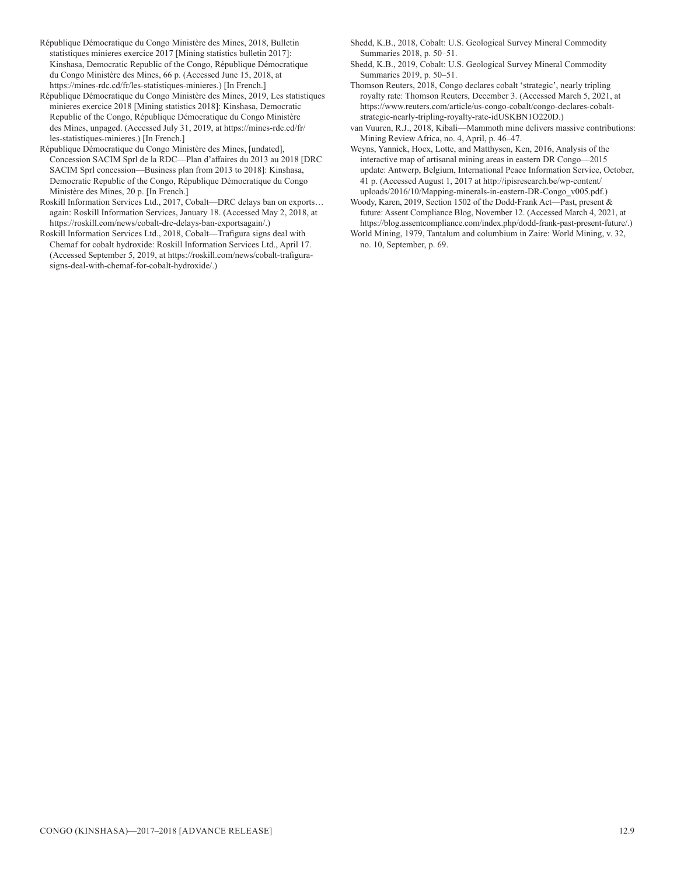- République Démocratique du Congo Ministère des Mines, 2018, Bulletin statistiques minieres exercice 2017 [Mining statistics bulletin 2017]: Kinshasa, Democratic Republic of the Congo, République Démocratique du Congo Ministère des Mines, 66 p. (Accessed June 15, 2018, at https://mines-rdc.cd/fr/les-statistiques-minieres.) [In French.]
- République Démocratique du Congo Ministère des Mines, 2019, Les statistiques minieres exercice 2018 [Mining statistics 2018]: Kinshasa, Democratic Republic of the Congo, République Démocratique du Congo Ministère des Mines, unpaged. (Accessed July 31, 2019, at https://mines-rdc.cd/fr/ les-statistiques-minieres.) [In French.]
- République Démocratique du Congo Ministère des Mines, [undated], Concession SACIM Sprl de la RDC—Plan d'affaires du 2013 au 2018 [DRC SACIM Sprl concession—Business plan from 2013 to 2018]: Kinshasa, Democratic Republic of the Congo, République Démocratique du Congo Ministère des Mines, 20 p. [In French.]
- Roskill Information Services Ltd., 2017, Cobalt—DRC delays ban on exports… again: Roskill Information Services, January 18. (Accessed May 2, 2018, at https://roskill.com/news/cobalt-drc-delays-ban-exportsagain/.)
- Roskill Information Services Ltd., 2018, Cobalt—Trafigura signs deal with Chemaf for cobalt hydroxide: Roskill Information Services Ltd., April 17. (Accessed September 5, 2019, at https://roskill.com/news/cobalt-trafigurasigns-deal-with-chemaf-for-cobalt-hydroxide/.)
- Shedd, K.B., 2018, Cobalt: U.S. Geological Survey Mineral Commodity Summaries 2018, p. 50–51.
- Shedd, K.B., 2019, Cobalt: U.S. Geological Survey Mineral Commodity Summaries 2019, p. 50–51.
- Thomson Reuters, 2018, Congo declares cobalt 'strategic', nearly tripling royalty rate: Thomson Reuters, December 3. (Accessed March 5, 2021, at https://www.reuters.com/article/us-congo-cobalt/congo-declares-cobaltstrategic-nearly-tripling-royalty-rate-idUSKBN1O220D.)
- van Vuuren, R.J., 2018, Kibali—Mammoth mine delivers massive contributions: Mining Review Africa, no. 4, April, p. 46–47.
- Weyns, Yannick, Hoex, Lotte, and Matthysen, Ken, 2016, Analysis of the interactive map of artisanal mining areas in eastern DR Congo—2015 update: Antwerp, Belgium, International Peace Information Service, October, 41 p. (Accessed August 1, 2017 at http://ipisresearch.be/wp-content/ uploads/2016/10/Mapping-minerals-in-eastern-DR-Congo\_v005.pdf.)

Woody, Karen, 2019, Section 1502 of the Dodd-Frank Act—Past, present & future: Assent Compliance Blog, November 12. (Accessed March 4, 2021, at https://blog.assentcompliance.com/index.php/dodd-frank-past-present-future/.) World Mining, 1979, Tantalum and columbium in Zaire: World Mining, v. 32,

no. 10, September, p. 69.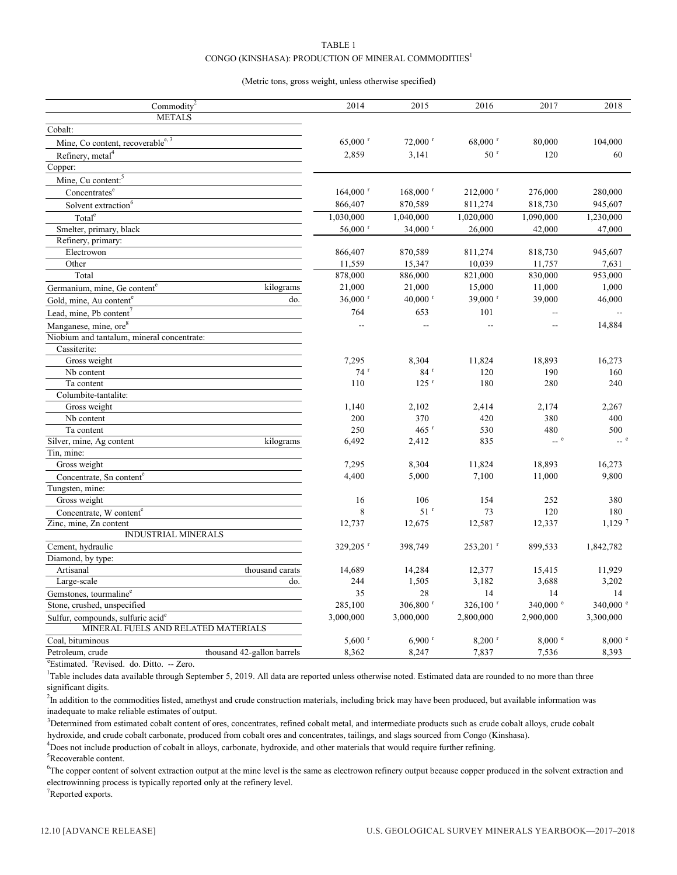# TABLE 1 CONGO (KINSHASA): PRODUCTION OF MINERAL COMMODITIES<sup>1</sup>

#### (Metric tons, gross weight, unless otherwise specified)

| Commodity <sup>2</sup><br>2014<br>2015<br>2016<br>2018<br>2017<br><b>METALS</b><br>Cobalt:<br>Mine, Co content, recoverable <sup>e, 3</sup><br>72,000 r<br>68,000 r<br>$65,000$ <sup>r</sup><br>80,000<br>104,000<br>Refinery, metal <sup>4</sup><br>50 <sup>r</sup><br>2,859<br>3,141<br>120<br>60<br>Copper:<br>Mine, Cu content: <sup>5</sup><br>Concentrates <sup>e</sup><br>$164,000$ <sup>r</sup><br>$168,000$ <sup>r</sup><br>$212,000$ <sup>r</sup><br>280,000<br>276,000<br>Solvent extraction <sup>6</sup><br>945,607<br>866,407<br>870,589<br>811,274<br>818,730<br>1,030,000<br>Total <sup>e</sup><br>1,040,000<br>1,020,000<br>1,090,000<br>1,230,000<br>$56,000$ <sup>r</sup><br>$34,000$ <sup>r</sup><br>Smelter, primary, black<br>26,000<br>42,000<br>47,000<br>Refinery, primary:<br>945,607<br>Electrowon<br>866,407<br>870,589<br>811,274<br>818,730<br>Other<br>10,039<br>11,559<br>15,347<br>11,757<br>7,631<br>Total<br>878,000<br>886,000<br>830,000<br>821,000<br>953,000<br>21,000<br>21,000<br>15,000<br>11,000<br>1,000<br>Germanium, mine, Ge content <sup>e</sup><br>kilograms<br>$39,000$ <sup>r</sup><br>$36,000$ <sup>r</sup><br>$40,000$ $r$<br>39,000<br>46,000<br>do.<br>Gold, mine, Au content <sup>e</sup><br>764<br>653<br>101<br>Lead, mine, Pb content<br>14,884<br>Manganese, mine, ore <sup>8</sup><br>$\overline{a}$<br>Ξ.<br>--<br>Ξ.<br>Niobium and tantalum, mineral concentrate:<br>Cassiterite:<br>Gross weight<br>7,295<br>8,304<br>11,824<br>18,893<br>16,273<br>$74$ <sup>r</sup><br>$84$ <sup>r</sup><br>120<br>190<br>160<br>Nb content<br>Ta content<br>110<br>$125$ <sup>r</sup><br>180<br>280<br>240<br>Columbite-tantalite:<br>Gross weight<br>1,140<br>2.102<br>2,414<br>2,174<br>2,267<br>370<br>200<br>420<br>380<br>400<br>Nb content<br>$465$ <sup>r</sup><br>Ta content<br>250<br>530<br>480<br>500<br>$-$ e<br>Silver, mine, Ag content<br>6,492<br>2,412<br>835<br>kilograms<br>Tin, mine:<br>Gross weight<br>7,295<br>8,304<br>11,824<br>18,893<br>16,273<br>7,100<br>9,800<br>4,400<br>5,000<br>11,000<br>Concentrate, Sn content <sup>e</sup><br>Tungsten, mine:<br>Gross weight<br>16<br>106<br>154<br>252<br>380<br>$51$ <sup>r</sup><br>8<br>73<br>120<br>180<br>Concentrate, W content <sup>e</sup><br>$1,129$ <sup>7</sup><br>Zinc, mine, Zn content<br>12,587<br>12,737<br>12,675<br>12,337<br><b>INDUSTRIAL MINERALS</b><br>Cement, hydraulic<br>329,205 r<br>398,749<br>253,201 r<br>899,533<br>1,842,782<br>Diamond, by type:<br>thousand carats<br>14,689<br>14,284<br>12,377<br>15,415<br>11,929<br>Artisanal<br>244<br>3,182<br>3,688<br>3,202<br>Large-scale<br>1,505<br>do.<br>35<br>28<br>14<br>14<br>14<br>Gemstones, tourmaline <sup>e</sup><br>340,000 e<br>$326,100$ <sup>r</sup><br>340,000 °<br>Stone, crushed, unspecified<br>285,100<br>306,800 r<br>3,000,000<br>3,000,000<br>2,800,000<br>2,900,000<br>3,300,000<br>Sulfur, compounds, sulfuric acid <sup>e</sup><br>MINERAL FUELS AND RELATED MATERIALS<br>8,000 °<br>8,000 °<br>Coal, bituminous<br>$5,600$ <sup>r</sup><br>$6,900$ <sup>r</sup><br>$8,200$ <sup>r</sup><br>Petroleum, crude<br>thousand 42-gallon barrels<br>8,362<br>8,247<br>7,837<br>7,536<br>8,393 |  |  |  |
|-------------------------------------------------------------------------------------------------------------------------------------------------------------------------------------------------------------------------------------------------------------------------------------------------------------------------------------------------------------------------------------------------------------------------------------------------------------------------------------------------------------------------------------------------------------------------------------------------------------------------------------------------------------------------------------------------------------------------------------------------------------------------------------------------------------------------------------------------------------------------------------------------------------------------------------------------------------------------------------------------------------------------------------------------------------------------------------------------------------------------------------------------------------------------------------------------------------------------------------------------------------------------------------------------------------------------------------------------------------------------------------------------------------------------------------------------------------------------------------------------------------------------------------------------------------------------------------------------------------------------------------------------------------------------------------------------------------------------------------------------------------------------------------------------------------------------------------------------------------------------------------------------------------------------------------------------------------------------------------------------------------------------------------------------------------------------------------------------------------------------------------------------------------------------------------------------------------------------------------------------------------------------------------------------------------------------------------------------------------------------------------------------------------------------------------------------------------------------------------------------------------------------------------------------------------------------------------------------------------------------------------------------------------------------------------------------------------------------------------------------------------------------------------------------------------------------------------------------------------------------------------------------------------------------------------------------------------------------------------------------------------------------------------------------------------------------------------------------------------------------------------------------------------------------------------------------------------------------|--|--|--|
|                                                                                                                                                                                                                                                                                                                                                                                                                                                                                                                                                                                                                                                                                                                                                                                                                                                                                                                                                                                                                                                                                                                                                                                                                                                                                                                                                                                                                                                                                                                                                                                                                                                                                                                                                                                                                                                                                                                                                                                                                                                                                                                                                                                                                                                                                                                                                                                                                                                                                                                                                                                                                                                                                                                                                                                                                                                                                                                                                                                                                                                                                                                                                                                                                         |  |  |  |
|                                                                                                                                                                                                                                                                                                                                                                                                                                                                                                                                                                                                                                                                                                                                                                                                                                                                                                                                                                                                                                                                                                                                                                                                                                                                                                                                                                                                                                                                                                                                                                                                                                                                                                                                                                                                                                                                                                                                                                                                                                                                                                                                                                                                                                                                                                                                                                                                                                                                                                                                                                                                                                                                                                                                                                                                                                                                                                                                                                                                                                                                                                                                                                                                                         |  |  |  |
|                                                                                                                                                                                                                                                                                                                                                                                                                                                                                                                                                                                                                                                                                                                                                                                                                                                                                                                                                                                                                                                                                                                                                                                                                                                                                                                                                                                                                                                                                                                                                                                                                                                                                                                                                                                                                                                                                                                                                                                                                                                                                                                                                                                                                                                                                                                                                                                                                                                                                                                                                                                                                                                                                                                                                                                                                                                                                                                                                                                                                                                                                                                                                                                                                         |  |  |  |
|                                                                                                                                                                                                                                                                                                                                                                                                                                                                                                                                                                                                                                                                                                                                                                                                                                                                                                                                                                                                                                                                                                                                                                                                                                                                                                                                                                                                                                                                                                                                                                                                                                                                                                                                                                                                                                                                                                                                                                                                                                                                                                                                                                                                                                                                                                                                                                                                                                                                                                                                                                                                                                                                                                                                                                                                                                                                                                                                                                                                                                                                                                                                                                                                                         |  |  |  |
|                                                                                                                                                                                                                                                                                                                                                                                                                                                                                                                                                                                                                                                                                                                                                                                                                                                                                                                                                                                                                                                                                                                                                                                                                                                                                                                                                                                                                                                                                                                                                                                                                                                                                                                                                                                                                                                                                                                                                                                                                                                                                                                                                                                                                                                                                                                                                                                                                                                                                                                                                                                                                                                                                                                                                                                                                                                                                                                                                                                                                                                                                                                                                                                                                         |  |  |  |
|                                                                                                                                                                                                                                                                                                                                                                                                                                                                                                                                                                                                                                                                                                                                                                                                                                                                                                                                                                                                                                                                                                                                                                                                                                                                                                                                                                                                                                                                                                                                                                                                                                                                                                                                                                                                                                                                                                                                                                                                                                                                                                                                                                                                                                                                                                                                                                                                                                                                                                                                                                                                                                                                                                                                                                                                                                                                                                                                                                                                                                                                                                                                                                                                                         |  |  |  |
|                                                                                                                                                                                                                                                                                                                                                                                                                                                                                                                                                                                                                                                                                                                                                                                                                                                                                                                                                                                                                                                                                                                                                                                                                                                                                                                                                                                                                                                                                                                                                                                                                                                                                                                                                                                                                                                                                                                                                                                                                                                                                                                                                                                                                                                                                                                                                                                                                                                                                                                                                                                                                                                                                                                                                                                                                                                                                                                                                                                                                                                                                                                                                                                                                         |  |  |  |
|                                                                                                                                                                                                                                                                                                                                                                                                                                                                                                                                                                                                                                                                                                                                                                                                                                                                                                                                                                                                                                                                                                                                                                                                                                                                                                                                                                                                                                                                                                                                                                                                                                                                                                                                                                                                                                                                                                                                                                                                                                                                                                                                                                                                                                                                                                                                                                                                                                                                                                                                                                                                                                                                                                                                                                                                                                                                                                                                                                                                                                                                                                                                                                                                                         |  |  |  |
|                                                                                                                                                                                                                                                                                                                                                                                                                                                                                                                                                                                                                                                                                                                                                                                                                                                                                                                                                                                                                                                                                                                                                                                                                                                                                                                                                                                                                                                                                                                                                                                                                                                                                                                                                                                                                                                                                                                                                                                                                                                                                                                                                                                                                                                                                                                                                                                                                                                                                                                                                                                                                                                                                                                                                                                                                                                                                                                                                                                                                                                                                                                                                                                                                         |  |  |  |
|                                                                                                                                                                                                                                                                                                                                                                                                                                                                                                                                                                                                                                                                                                                                                                                                                                                                                                                                                                                                                                                                                                                                                                                                                                                                                                                                                                                                                                                                                                                                                                                                                                                                                                                                                                                                                                                                                                                                                                                                                                                                                                                                                                                                                                                                                                                                                                                                                                                                                                                                                                                                                                                                                                                                                                                                                                                                                                                                                                                                                                                                                                                                                                                                                         |  |  |  |
|                                                                                                                                                                                                                                                                                                                                                                                                                                                                                                                                                                                                                                                                                                                                                                                                                                                                                                                                                                                                                                                                                                                                                                                                                                                                                                                                                                                                                                                                                                                                                                                                                                                                                                                                                                                                                                                                                                                                                                                                                                                                                                                                                                                                                                                                                                                                                                                                                                                                                                                                                                                                                                                                                                                                                                                                                                                                                                                                                                                                                                                                                                                                                                                                                         |  |  |  |
|                                                                                                                                                                                                                                                                                                                                                                                                                                                                                                                                                                                                                                                                                                                                                                                                                                                                                                                                                                                                                                                                                                                                                                                                                                                                                                                                                                                                                                                                                                                                                                                                                                                                                                                                                                                                                                                                                                                                                                                                                                                                                                                                                                                                                                                                                                                                                                                                                                                                                                                                                                                                                                                                                                                                                                                                                                                                                                                                                                                                                                                                                                                                                                                                                         |  |  |  |
|                                                                                                                                                                                                                                                                                                                                                                                                                                                                                                                                                                                                                                                                                                                                                                                                                                                                                                                                                                                                                                                                                                                                                                                                                                                                                                                                                                                                                                                                                                                                                                                                                                                                                                                                                                                                                                                                                                                                                                                                                                                                                                                                                                                                                                                                                                                                                                                                                                                                                                                                                                                                                                                                                                                                                                                                                                                                                                                                                                                                                                                                                                                                                                                                                         |  |  |  |
|                                                                                                                                                                                                                                                                                                                                                                                                                                                                                                                                                                                                                                                                                                                                                                                                                                                                                                                                                                                                                                                                                                                                                                                                                                                                                                                                                                                                                                                                                                                                                                                                                                                                                                                                                                                                                                                                                                                                                                                                                                                                                                                                                                                                                                                                                                                                                                                                                                                                                                                                                                                                                                                                                                                                                                                                                                                                                                                                                                                                                                                                                                                                                                                                                         |  |  |  |
|                                                                                                                                                                                                                                                                                                                                                                                                                                                                                                                                                                                                                                                                                                                                                                                                                                                                                                                                                                                                                                                                                                                                                                                                                                                                                                                                                                                                                                                                                                                                                                                                                                                                                                                                                                                                                                                                                                                                                                                                                                                                                                                                                                                                                                                                                                                                                                                                                                                                                                                                                                                                                                                                                                                                                                                                                                                                                                                                                                                                                                                                                                                                                                                                                         |  |  |  |
|                                                                                                                                                                                                                                                                                                                                                                                                                                                                                                                                                                                                                                                                                                                                                                                                                                                                                                                                                                                                                                                                                                                                                                                                                                                                                                                                                                                                                                                                                                                                                                                                                                                                                                                                                                                                                                                                                                                                                                                                                                                                                                                                                                                                                                                                                                                                                                                                                                                                                                                                                                                                                                                                                                                                                                                                                                                                                                                                                                                                                                                                                                                                                                                                                         |  |  |  |
|                                                                                                                                                                                                                                                                                                                                                                                                                                                                                                                                                                                                                                                                                                                                                                                                                                                                                                                                                                                                                                                                                                                                                                                                                                                                                                                                                                                                                                                                                                                                                                                                                                                                                                                                                                                                                                                                                                                                                                                                                                                                                                                                                                                                                                                                                                                                                                                                                                                                                                                                                                                                                                                                                                                                                                                                                                                                                                                                                                                                                                                                                                                                                                                                                         |  |  |  |
|                                                                                                                                                                                                                                                                                                                                                                                                                                                                                                                                                                                                                                                                                                                                                                                                                                                                                                                                                                                                                                                                                                                                                                                                                                                                                                                                                                                                                                                                                                                                                                                                                                                                                                                                                                                                                                                                                                                                                                                                                                                                                                                                                                                                                                                                                                                                                                                                                                                                                                                                                                                                                                                                                                                                                                                                                                                                                                                                                                                                                                                                                                                                                                                                                         |  |  |  |
|                                                                                                                                                                                                                                                                                                                                                                                                                                                                                                                                                                                                                                                                                                                                                                                                                                                                                                                                                                                                                                                                                                                                                                                                                                                                                                                                                                                                                                                                                                                                                                                                                                                                                                                                                                                                                                                                                                                                                                                                                                                                                                                                                                                                                                                                                                                                                                                                                                                                                                                                                                                                                                                                                                                                                                                                                                                                                                                                                                                                                                                                                                                                                                                                                         |  |  |  |
|                                                                                                                                                                                                                                                                                                                                                                                                                                                                                                                                                                                                                                                                                                                                                                                                                                                                                                                                                                                                                                                                                                                                                                                                                                                                                                                                                                                                                                                                                                                                                                                                                                                                                                                                                                                                                                                                                                                                                                                                                                                                                                                                                                                                                                                                                                                                                                                                                                                                                                                                                                                                                                                                                                                                                                                                                                                                                                                                                                                                                                                                                                                                                                                                                         |  |  |  |
|                                                                                                                                                                                                                                                                                                                                                                                                                                                                                                                                                                                                                                                                                                                                                                                                                                                                                                                                                                                                                                                                                                                                                                                                                                                                                                                                                                                                                                                                                                                                                                                                                                                                                                                                                                                                                                                                                                                                                                                                                                                                                                                                                                                                                                                                                                                                                                                                                                                                                                                                                                                                                                                                                                                                                                                                                                                                                                                                                                                                                                                                                                                                                                                                                         |  |  |  |
|                                                                                                                                                                                                                                                                                                                                                                                                                                                                                                                                                                                                                                                                                                                                                                                                                                                                                                                                                                                                                                                                                                                                                                                                                                                                                                                                                                                                                                                                                                                                                                                                                                                                                                                                                                                                                                                                                                                                                                                                                                                                                                                                                                                                                                                                                                                                                                                                                                                                                                                                                                                                                                                                                                                                                                                                                                                                                                                                                                                                                                                                                                                                                                                                                         |  |  |  |
|                                                                                                                                                                                                                                                                                                                                                                                                                                                                                                                                                                                                                                                                                                                                                                                                                                                                                                                                                                                                                                                                                                                                                                                                                                                                                                                                                                                                                                                                                                                                                                                                                                                                                                                                                                                                                                                                                                                                                                                                                                                                                                                                                                                                                                                                                                                                                                                                                                                                                                                                                                                                                                                                                                                                                                                                                                                                                                                                                                                                                                                                                                                                                                                                                         |  |  |  |
|                                                                                                                                                                                                                                                                                                                                                                                                                                                                                                                                                                                                                                                                                                                                                                                                                                                                                                                                                                                                                                                                                                                                                                                                                                                                                                                                                                                                                                                                                                                                                                                                                                                                                                                                                                                                                                                                                                                                                                                                                                                                                                                                                                                                                                                                                                                                                                                                                                                                                                                                                                                                                                                                                                                                                                                                                                                                                                                                                                                                                                                                                                                                                                                                                         |  |  |  |
|                                                                                                                                                                                                                                                                                                                                                                                                                                                                                                                                                                                                                                                                                                                                                                                                                                                                                                                                                                                                                                                                                                                                                                                                                                                                                                                                                                                                                                                                                                                                                                                                                                                                                                                                                                                                                                                                                                                                                                                                                                                                                                                                                                                                                                                                                                                                                                                                                                                                                                                                                                                                                                                                                                                                                                                                                                                                                                                                                                                                                                                                                                                                                                                                                         |  |  |  |
|                                                                                                                                                                                                                                                                                                                                                                                                                                                                                                                                                                                                                                                                                                                                                                                                                                                                                                                                                                                                                                                                                                                                                                                                                                                                                                                                                                                                                                                                                                                                                                                                                                                                                                                                                                                                                                                                                                                                                                                                                                                                                                                                                                                                                                                                                                                                                                                                                                                                                                                                                                                                                                                                                                                                                                                                                                                                                                                                                                                                                                                                                                                                                                                                                         |  |  |  |
|                                                                                                                                                                                                                                                                                                                                                                                                                                                                                                                                                                                                                                                                                                                                                                                                                                                                                                                                                                                                                                                                                                                                                                                                                                                                                                                                                                                                                                                                                                                                                                                                                                                                                                                                                                                                                                                                                                                                                                                                                                                                                                                                                                                                                                                                                                                                                                                                                                                                                                                                                                                                                                                                                                                                                                                                                                                                                                                                                                                                                                                                                                                                                                                                                         |  |  |  |
|                                                                                                                                                                                                                                                                                                                                                                                                                                                                                                                                                                                                                                                                                                                                                                                                                                                                                                                                                                                                                                                                                                                                                                                                                                                                                                                                                                                                                                                                                                                                                                                                                                                                                                                                                                                                                                                                                                                                                                                                                                                                                                                                                                                                                                                                                                                                                                                                                                                                                                                                                                                                                                                                                                                                                                                                                                                                                                                                                                                                                                                                                                                                                                                                                         |  |  |  |
|                                                                                                                                                                                                                                                                                                                                                                                                                                                                                                                                                                                                                                                                                                                                                                                                                                                                                                                                                                                                                                                                                                                                                                                                                                                                                                                                                                                                                                                                                                                                                                                                                                                                                                                                                                                                                                                                                                                                                                                                                                                                                                                                                                                                                                                                                                                                                                                                                                                                                                                                                                                                                                                                                                                                                                                                                                                                                                                                                                                                                                                                                                                                                                                                                         |  |  |  |
|                                                                                                                                                                                                                                                                                                                                                                                                                                                                                                                                                                                                                                                                                                                                                                                                                                                                                                                                                                                                                                                                                                                                                                                                                                                                                                                                                                                                                                                                                                                                                                                                                                                                                                                                                                                                                                                                                                                                                                                                                                                                                                                                                                                                                                                                                                                                                                                                                                                                                                                                                                                                                                                                                                                                                                                                                                                                                                                                                                                                                                                                                                                                                                                                                         |  |  |  |
|                                                                                                                                                                                                                                                                                                                                                                                                                                                                                                                                                                                                                                                                                                                                                                                                                                                                                                                                                                                                                                                                                                                                                                                                                                                                                                                                                                                                                                                                                                                                                                                                                                                                                                                                                                                                                                                                                                                                                                                                                                                                                                                                                                                                                                                                                                                                                                                                                                                                                                                                                                                                                                                                                                                                                                                                                                                                                                                                                                                                                                                                                                                                                                                                                         |  |  |  |
|                                                                                                                                                                                                                                                                                                                                                                                                                                                                                                                                                                                                                                                                                                                                                                                                                                                                                                                                                                                                                                                                                                                                                                                                                                                                                                                                                                                                                                                                                                                                                                                                                                                                                                                                                                                                                                                                                                                                                                                                                                                                                                                                                                                                                                                                                                                                                                                                                                                                                                                                                                                                                                                                                                                                                                                                                                                                                                                                                                                                                                                                                                                                                                                                                         |  |  |  |
|                                                                                                                                                                                                                                                                                                                                                                                                                                                                                                                                                                                                                                                                                                                                                                                                                                                                                                                                                                                                                                                                                                                                                                                                                                                                                                                                                                                                                                                                                                                                                                                                                                                                                                                                                                                                                                                                                                                                                                                                                                                                                                                                                                                                                                                                                                                                                                                                                                                                                                                                                                                                                                                                                                                                                                                                                                                                                                                                                                                                                                                                                                                                                                                                                         |  |  |  |
|                                                                                                                                                                                                                                                                                                                                                                                                                                                                                                                                                                                                                                                                                                                                                                                                                                                                                                                                                                                                                                                                                                                                                                                                                                                                                                                                                                                                                                                                                                                                                                                                                                                                                                                                                                                                                                                                                                                                                                                                                                                                                                                                                                                                                                                                                                                                                                                                                                                                                                                                                                                                                                                                                                                                                                                                                                                                                                                                                                                                                                                                                                                                                                                                                         |  |  |  |
|                                                                                                                                                                                                                                                                                                                                                                                                                                                                                                                                                                                                                                                                                                                                                                                                                                                                                                                                                                                                                                                                                                                                                                                                                                                                                                                                                                                                                                                                                                                                                                                                                                                                                                                                                                                                                                                                                                                                                                                                                                                                                                                                                                                                                                                                                                                                                                                                                                                                                                                                                                                                                                                                                                                                                                                                                                                                                                                                                                                                                                                                                                                                                                                                                         |  |  |  |
|                                                                                                                                                                                                                                                                                                                                                                                                                                                                                                                                                                                                                                                                                                                                                                                                                                                                                                                                                                                                                                                                                                                                                                                                                                                                                                                                                                                                                                                                                                                                                                                                                                                                                                                                                                                                                                                                                                                                                                                                                                                                                                                                                                                                                                                                                                                                                                                                                                                                                                                                                                                                                                                                                                                                                                                                                                                                                                                                                                                                                                                                                                                                                                                                                         |  |  |  |
|                                                                                                                                                                                                                                                                                                                                                                                                                                                                                                                                                                                                                                                                                                                                                                                                                                                                                                                                                                                                                                                                                                                                                                                                                                                                                                                                                                                                                                                                                                                                                                                                                                                                                                                                                                                                                                                                                                                                                                                                                                                                                                                                                                                                                                                                                                                                                                                                                                                                                                                                                                                                                                                                                                                                                                                                                                                                                                                                                                                                                                                                                                                                                                                                                         |  |  |  |
|                                                                                                                                                                                                                                                                                                                                                                                                                                                                                                                                                                                                                                                                                                                                                                                                                                                                                                                                                                                                                                                                                                                                                                                                                                                                                                                                                                                                                                                                                                                                                                                                                                                                                                                                                                                                                                                                                                                                                                                                                                                                                                                                                                                                                                                                                                                                                                                                                                                                                                                                                                                                                                                                                                                                                                                                                                                                                                                                                                                                                                                                                                                                                                                                                         |  |  |  |
|                                                                                                                                                                                                                                                                                                                                                                                                                                                                                                                                                                                                                                                                                                                                                                                                                                                                                                                                                                                                                                                                                                                                                                                                                                                                                                                                                                                                                                                                                                                                                                                                                                                                                                                                                                                                                                                                                                                                                                                                                                                                                                                                                                                                                                                                                                                                                                                                                                                                                                                                                                                                                                                                                                                                                                                                                                                                                                                                                                                                                                                                                                                                                                                                                         |  |  |  |
|                                                                                                                                                                                                                                                                                                                                                                                                                                                                                                                                                                                                                                                                                                                                                                                                                                                                                                                                                                                                                                                                                                                                                                                                                                                                                                                                                                                                                                                                                                                                                                                                                                                                                                                                                                                                                                                                                                                                                                                                                                                                                                                                                                                                                                                                                                                                                                                                                                                                                                                                                                                                                                                                                                                                                                                                                                                                                                                                                                                                                                                                                                                                                                                                                         |  |  |  |
|                                                                                                                                                                                                                                                                                                                                                                                                                                                                                                                                                                                                                                                                                                                                                                                                                                                                                                                                                                                                                                                                                                                                                                                                                                                                                                                                                                                                                                                                                                                                                                                                                                                                                                                                                                                                                                                                                                                                                                                                                                                                                                                                                                                                                                                                                                                                                                                                                                                                                                                                                                                                                                                                                                                                                                                                                                                                                                                                                                                                                                                                                                                                                                                                                         |  |  |  |
|                                                                                                                                                                                                                                                                                                                                                                                                                                                                                                                                                                                                                                                                                                                                                                                                                                                                                                                                                                                                                                                                                                                                                                                                                                                                                                                                                                                                                                                                                                                                                                                                                                                                                                                                                                                                                                                                                                                                                                                                                                                                                                                                                                                                                                                                                                                                                                                                                                                                                                                                                                                                                                                                                                                                                                                                                                                                                                                                                                                                                                                                                                                                                                                                                         |  |  |  |
|                                                                                                                                                                                                                                                                                                                                                                                                                                                                                                                                                                                                                                                                                                                                                                                                                                                                                                                                                                                                                                                                                                                                                                                                                                                                                                                                                                                                                                                                                                                                                                                                                                                                                                                                                                                                                                                                                                                                                                                                                                                                                                                                                                                                                                                                                                                                                                                                                                                                                                                                                                                                                                                                                                                                                                                                                                                                                                                                                                                                                                                                                                                                                                                                                         |  |  |  |
|                                                                                                                                                                                                                                                                                                                                                                                                                                                                                                                                                                                                                                                                                                                                                                                                                                                                                                                                                                                                                                                                                                                                                                                                                                                                                                                                                                                                                                                                                                                                                                                                                                                                                                                                                                                                                                                                                                                                                                                                                                                                                                                                                                                                                                                                                                                                                                                                                                                                                                                                                                                                                                                                                                                                                                                                                                                                                                                                                                                                                                                                                                                                                                                                                         |  |  |  |
|                                                                                                                                                                                                                                                                                                                                                                                                                                                                                                                                                                                                                                                                                                                                                                                                                                                                                                                                                                                                                                                                                                                                                                                                                                                                                                                                                                                                                                                                                                                                                                                                                                                                                                                                                                                                                                                                                                                                                                                                                                                                                                                                                                                                                                                                                                                                                                                                                                                                                                                                                                                                                                                                                                                                                                                                                                                                                                                                                                                                                                                                                                                                                                                                                         |  |  |  |
|                                                                                                                                                                                                                                                                                                                                                                                                                                                                                                                                                                                                                                                                                                                                                                                                                                                                                                                                                                                                                                                                                                                                                                                                                                                                                                                                                                                                                                                                                                                                                                                                                                                                                                                                                                                                                                                                                                                                                                                                                                                                                                                                                                                                                                                                                                                                                                                                                                                                                                                                                                                                                                                                                                                                                                                                                                                                                                                                                                                                                                                                                                                                                                                                                         |  |  |  |
|                                                                                                                                                                                                                                                                                                                                                                                                                                                                                                                                                                                                                                                                                                                                                                                                                                                                                                                                                                                                                                                                                                                                                                                                                                                                                                                                                                                                                                                                                                                                                                                                                                                                                                                                                                                                                                                                                                                                                                                                                                                                                                                                                                                                                                                                                                                                                                                                                                                                                                                                                                                                                                                                                                                                                                                                                                                                                                                                                                                                                                                                                                                                                                                                                         |  |  |  |

<sup>e</sup>Estimated. <sup>r</sup>Revised. do. Ditto. -- Zero.

<sup>1</sup>Table includes data available through September 5, 2019. All data are reported unless otherwise noted. Estimated data are rounded to no more than three significant digits.

<sup>2</sup>In addition to the commodities listed, amethyst and crude construction materials, including brick may have been produced, but available information was inadequate to make reliable estimates of output.

<sup>3</sup>Determined from estimated cobalt content of ores, concentrates, refined cobalt metal, and intermediate products such as crude cobalt alloys, crude cobalt hydroxide, and crude cobalt carbonate, produced from cobalt ores and concentrates, tailings, and slags sourced from Congo (Kinshasa).

4 Does not include production of cobalt in alloys, carbonate, hydroxide, and other materials that would require further refining.

<sup>5</sup>Recoverable content.

<sup>6</sup>The copper content of solvent extraction output at the mine level is the same as electrowon refinery output because copper produced in the solvent extraction and electrowinning process is typically reported only at the refinery level.

<sup>7</sup>Reported exports.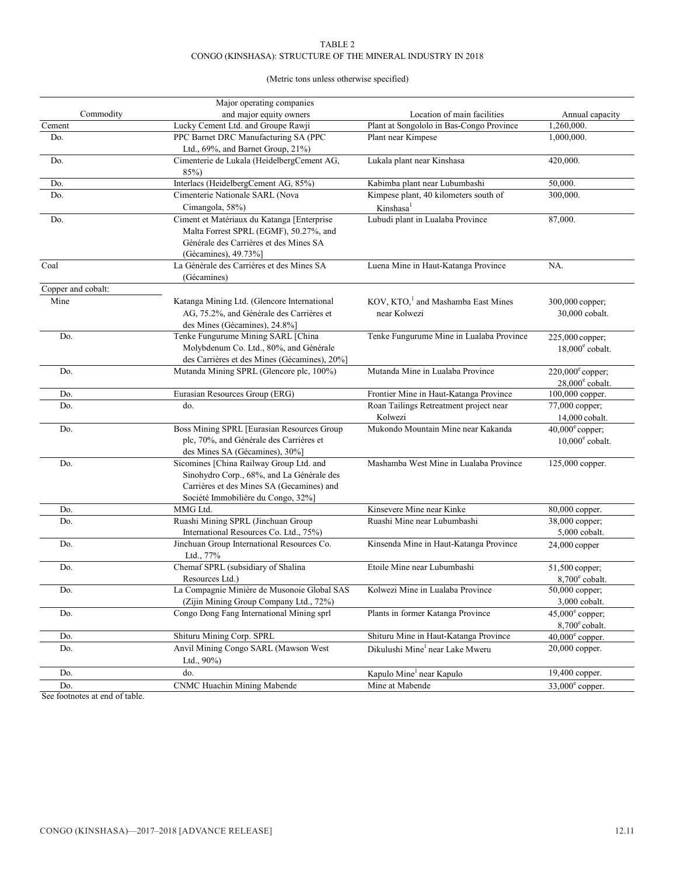# TABLE 2 CONGO (KINSHASA): STRUCTURE OF THE MINERAL INDUSTRY IN 2018

# (Metric tons unless otherwise specified)

|                    | Major operating companies                                                                                                                                               |                                                                |                                                       |
|--------------------|-------------------------------------------------------------------------------------------------------------------------------------------------------------------------|----------------------------------------------------------------|-------------------------------------------------------|
| Commodity          | and major equity owners                                                                                                                                                 | Location of main facilities                                    | Annual capacity                                       |
| Cement             | Lucky Cement Ltd. and Groupe Rawji                                                                                                                                      | Plant at Songololo in Bas-Congo Province                       | 1,260,000.                                            |
| Do.                | PPC Barnet DRC Manufacturing SA (PPC<br>Ltd., 69%, and Barnet Group, 21%)                                                                                               | Plant near Kimpese                                             | 1,000,000.                                            |
| Do.                | Cimenterie de Lukala (HeidelbergCement AG,<br>85%)                                                                                                                      | Lukala plant near Kinshasa                                     | 420,000.                                              |
| Do.                | Interlacs (HeidelbergCement AG, 85%)                                                                                                                                    | Kabimba plant near Lubumbashi                                  | 50,000.                                               |
| Do.                | Cimenterie Nationale SARL (Nova                                                                                                                                         | Kimpese plant, 40 kilometers south of                          | 300,000.                                              |
|                    | Cimangola, 58%)                                                                                                                                                         | Kinshasa <sup>1</sup>                                          |                                                       |
| Do.                | Ciment et Matériaux du Katanga [Enterprise<br>Malta Forrest SPRL (EGMF), 50.27%, and<br>Générale des Carrières et des Mines SA<br>(Gécamines), 49.73%]                  | Lubudi plant in Lualaba Province                               | 87,000.                                               |
| Coal               | La Générale des Carrières et des Mines SA<br>(Gécamines)                                                                                                                | Luena Mine in Haut-Katanga Province                            | NA.                                                   |
| Copper and cobalt: |                                                                                                                                                                         |                                                                |                                                       |
| Mine               | Katanga Mining Ltd. (Glencore International<br>AG, 75.2%, and Générale des Carrières et<br>des Mines (Gécamines), 24.8%]                                                | KOV, KTO, <sup>1</sup> and Mashamba East Mines<br>near Kolwezi | 300,000 copper;<br>30,000 cobalt.                     |
| Do.                | Tenke Fungurume Mining SARL [China<br>Molybdenum Co. Ltd., 80%, and Générale<br>des Carrières et des Mines (Gécamines), 20%]                                            | Tenke Fungurume Mine in Lualaba Province                       | 225,000 copper;<br>$18,000^{\circ}$ cobalt.           |
| Do.                | Mutanda Mining SPRL (Glencore plc, 100%)                                                                                                                                | Mutanda Mine in Lualaba Province                               | $220,000^{\circ}$ copper;<br>$28,000^{\circ}$ cobalt. |
| Do.                | Eurasian Resources Group (ERG)                                                                                                                                          | Frontier Mine in Haut-Katanga Province                         | 100,000 copper.                                       |
| Do.                | do.                                                                                                                                                                     | Roan Tailings Retreatment project near<br>Kolwezi              | 77,000 copper;<br>14,000 cobalt.                      |
| Do.                | Boss Mining SPRL [Eurasian Resources Group<br>plc, 70%, and Générale des Carrières et<br>des Mines SA (Gécamines), 30%]                                                 | Mukondo Mountain Mine near Kakanda                             | $40,000^{\circ}$ copper;<br>$10,000^{\circ}$ cobalt.  |
| Do.                | Sicomines [China Railway Group Ltd. and<br>Sinohydro Corp., 68%, and La Générale des<br>Carrières et des Mines SA (Gecamines) and<br>Société Immobilière du Congo, 32%] | Mashamba West Mine in Lualaba Province                         | 125,000 copper.                                       |
| Do.                | MMG Ltd.                                                                                                                                                                | Kinsevere Mine near Kinke                                      | 80,000 copper.                                        |
| Do.                | Ruashi Mining SPRL (Jinchuan Group<br>International Resources Co. Ltd., 75%)                                                                                            | Ruashi Mine near Lubumbashi                                    | 38,000 copper;<br>5,000 cobalt.                       |
| Do.                | Jinchuan Group International Resources Co.<br>Ltd., 77%                                                                                                                 | Kinsenda Mine in Haut-Katanga Province                         | $24,000$ copper                                       |
| Do.                | Chemaf SPRL (subsidiary of Shalina<br>Resources Ltd.)                                                                                                                   | Etoile Mine near Lubumbashi                                    | 51,500 copper;<br>$8,700^{\circ}$ cobalt.             |
| Do.                | La Compagnie Minière de Musonoie Global SAS<br>(Zijin Mining Group Company Ltd., 72%)                                                                                   | Kolwezi Mine in Lualaba Province                               | 50,000 copper;<br>3,000 cobalt.                       |
| Do.                | Congo Dong Fang International Mining sprl                                                                                                                               | Plants in former Katanga Province                              | $45,000^{\circ}$ copper;<br>$8,700^{\circ}$ cobalt.   |
| Do.                | Shituru Mining Corp. SPRL                                                                                                                                               | Shituru Mine in Haut-Katanga Province                          | $40,000^{\circ}$ copper.                              |
| Do.                | Anvil Mining Congo SARL (Mawson West<br>Ltd., $90\%$ )                                                                                                                  | Dikulushi Mine <sup>1</sup> near Lake Mweru                    | 20,000 copper.                                        |
| Do.                | do.                                                                                                                                                                     | Kapulo Mine <sup>1</sup> near Kapulo                           | 19,400 copper.                                        |
| Do.                | CNMC Huachin Mining Mabende                                                                                                                                             | Mine at Mabende                                                | $33,000^{\circ}$ copper.                              |

See footnotes at end of table.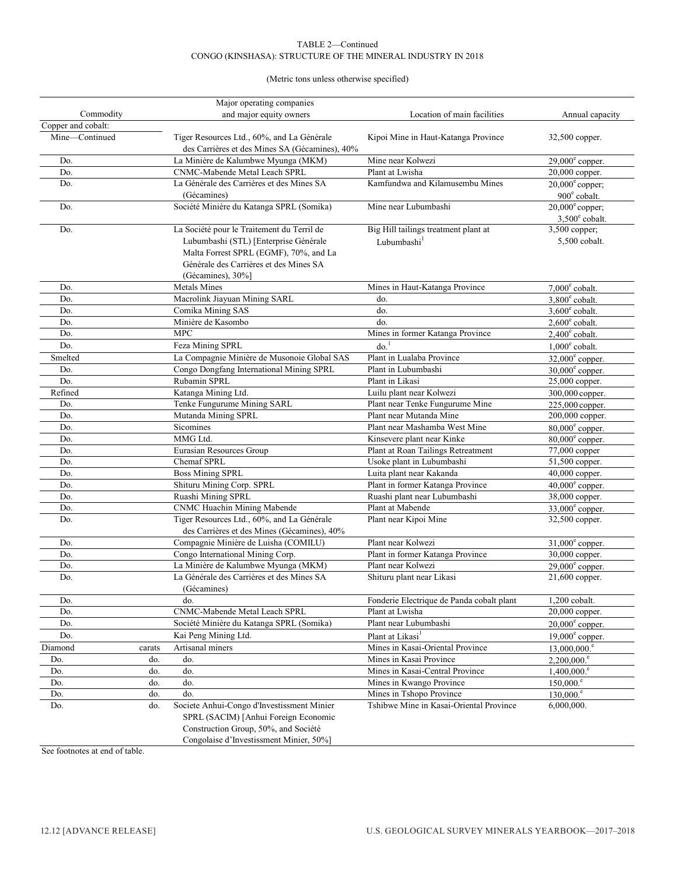## TABLE 2—Continued CONGO (KINSHASA): STRUCTURE OF THE MINERAL INDUSTRY IN 2018

# (Metric tons unless otherwise specified)

|                    |        | Major operating companies                      |                                                            |                             |
|--------------------|--------|------------------------------------------------|------------------------------------------------------------|-----------------------------|
| Commodity          |        | and major equity owners                        | Location of main facilities                                | Annual capacity             |
| Copper and cobalt: |        |                                                |                                                            |                             |
| Mine-Continued     |        | Tiger Resources Ltd., 60%, and La Générale     | Kipoi Mine in Haut-Katanga Province                        | 32,500 copper.              |
|                    |        | des Carrières et des Mines SA (Gécamines), 40% |                                                            |                             |
| Do.                |        | La Minière de Kalumbwe Myunga (MKM)            | Mine near Kolwezi                                          | $29,000^{\circ}$ copper.    |
| Do.                |        | CNMC-Mabende Metal Leach SPRL                  | Plant at Lwisha                                            | 20,000 copper.              |
| Do.                |        | La Générale des Carrières et des Mines SA      | Kamfundwa and Kilamusembu Mines                            | $20,000^{\circ}$ copper;    |
|                    |        | (Gécamines)                                    |                                                            | $900^{\circ}$ cobalt.       |
| Do.                |        | Société Minière du Katanga SPRL (Somika)       | Mine near Lubumbashi                                       | $20,000^{\circ}$ copper;    |
|                    |        |                                                |                                                            | $3,500^{\circ}$ cobalt.     |
| Do.                |        | La Société pour le Traitement du Terril de     | Big Hill tailings treatment plant at                       | 3,500 copper;               |
|                    |        | Lubumbashi (STL) [Enterprise Générale          | Lubumbashi <sup>1</sup>                                    | 5,500 cobalt.               |
|                    |        | Malta Forrest SPRL (EGMF), 70%, and La         |                                                            |                             |
|                    |        | Générale des Carrières et des Mines SA         |                                                            |                             |
|                    |        | (Gécamines), 30%]                              |                                                            |                             |
| Do.                |        | <b>Metals Mines</b>                            | Mines in Haut-Katanga Province                             | $7,000^{\circ}$ cobalt.     |
| Do.                |        | Macrolink Jiayuan Mining SARL                  | do.                                                        | $3,800^{\circ}$ cobalt.     |
| Do.                |        | Comika Mining SAS                              | do.                                                        | $3.600^{\circ}$ cobalt.     |
| Do.                |        | Minière de Kasombo                             | do.                                                        | $2,600^{\circ}$ cobalt.     |
| Do.                |        | <b>MPC</b>                                     | Mines in former Katanga Province                           | $2,400^{\circ}$ cobalt.     |
| Do.                |        | Feza Mining SPRL                               | $d\sigma$ <sup>1</sup>                                     | $1,000^{\circ}$ cobalt.     |
| Smelted            |        | La Compagnie Minière de Musonoie Global SAS    | Plant in Lualaba Province                                  | $32,000^{\circ}$ copper.    |
| Do.                |        | Congo Dongfang International Mining SPRL       | Plant in Lubumbashi                                        | $30,000^{\circ}$ copper.    |
| Do.                |        | Rubamin SPRL                                   | Plant in Likasi                                            | 25,000 copper.              |
| Refined            |        | Katanga Mining Ltd.                            | Luilu plant near Kolwezi                                   | 300,000 copper.             |
| Do.                |        | Tenke Fungurume Mining SARL                    | Plant near Tenke Fungurume Mine                            | 225,000 copper.             |
| Do.                |        | Mutanda Mining SPRL                            | Plant near Mutanda Mine                                    | 200,000 copper.             |
| Do.                |        | Sicomines                                      | Plant near Mashamba West Mine                              | $80,000^{\circ}$ copper.    |
| Do.                |        | MMG Ltd.                                       | Kinsevere plant near Kinke                                 | $80,000^{\circ}$ copper.    |
| Do.                |        | Eurasian Resources Group                       | Plant at Roan Tailings Retreatment                         | 77,000 copper               |
| Do.                |        | Chemaf SPRL                                    | Usoke plant in Lubumbashi                                  | 51,500 copper.              |
| Do.                |        | <b>Boss Mining SPRL</b>                        | Luita plant near Kakanda                                   | 40,000 copper.              |
| Do.                |        | Shituru Mining Corp. SPRL                      | Plant in former Katanga Province                           | $40,000^{\circ}$ copper.    |
| Do.                |        | Ruashi Mining SPRL                             | Ruashi plant near Lubumbashi                               | $\overline{38,000}$ copper. |
| Do.                |        | CNMC Huachin Mining Mabende                    | Plant at Mabende                                           | $33,000^{\circ}$ copper.    |
| Do.                |        | Tiger Resources Ltd., 60%, and La Générale     | Plant near Kipoi Mine                                      | 32,500 copper.              |
|                    |        | des Carrières et des Mines (Gécamines), 40%    |                                                            |                             |
| Do.                |        | Compagnie Minière de Luisha (COMILU)           | Plant near Kolwezi                                         | $31,000^{\circ}$ copper.    |
| Do.                |        | Congo International Mining Corp.               | Plant in former Katanga Province                           | 30,000 copper.              |
| Do.                |        | La Minière de Kalumbwe Myunga (MKM)            | Plant near Kolwezi                                         | $29,000^{\circ}$ copper.    |
| Do.                |        | La Générale des Carrières et des Mines SA      | Shituru plant near Likasi                                  | 21,600 copper.              |
|                    |        | (Gécamines)                                    |                                                            |                             |
| Do.                |        | do.                                            | Fonderie Electrique de Panda cobalt plant                  | 1,200 cobalt.               |
| Do.                |        | CNMC-Mabende Metal Leach SPRL                  | Plant at Lwisha                                            | 20,000 copper.              |
| Do.                |        | Société Minière du Katanga SPRL (Somika)       | Plant near Lubumbashi                                      | $20,000^{\circ}$ copper.    |
| Do.                |        | Kai Peng Mining Ltd.                           | Plant at Likasi <sup>1</sup>                               |                             |
|                    |        |                                                |                                                            | $19,000^{\circ}$ copper.    |
| Diamond            | carats | Artisanal miners                               | Mines in Kasai-Oriental Province                           | 13,000,000. <sup>e</sup>    |
| Do.                | do.    | do.                                            | Mines in Kasai Province<br>Mines in Kasai-Central Province | $2,200,000$ . $^{\circ}$    |
| Do.                | do.    | do.                                            |                                                            | $1,400,000.^e$              |
| Do.                | do.    | do.                                            | Mines in Kwango Province                                   | $150,000$ . $^{\circ}$      |
| Do.                | do.    | do.                                            | Mines in Tshopo Province                                   | $130,000$ . $^{\circ}$      |
| Do.                | do.    | Societe Anhui-Congo d'Investissment Minier     | Tshibwe Mine in Kasai-Oriental Province                    | 6,000,000.                  |
|                    |        | SPRL (SACIM) [Anhui Foreign Economic           |                                                            |                             |
|                    |        | Construction Group, 50%, and Société           |                                                            |                             |
|                    |        | Congolaise d'Investissment Minier, 50%]        |                                                            |                             |

See footnotes at end of table.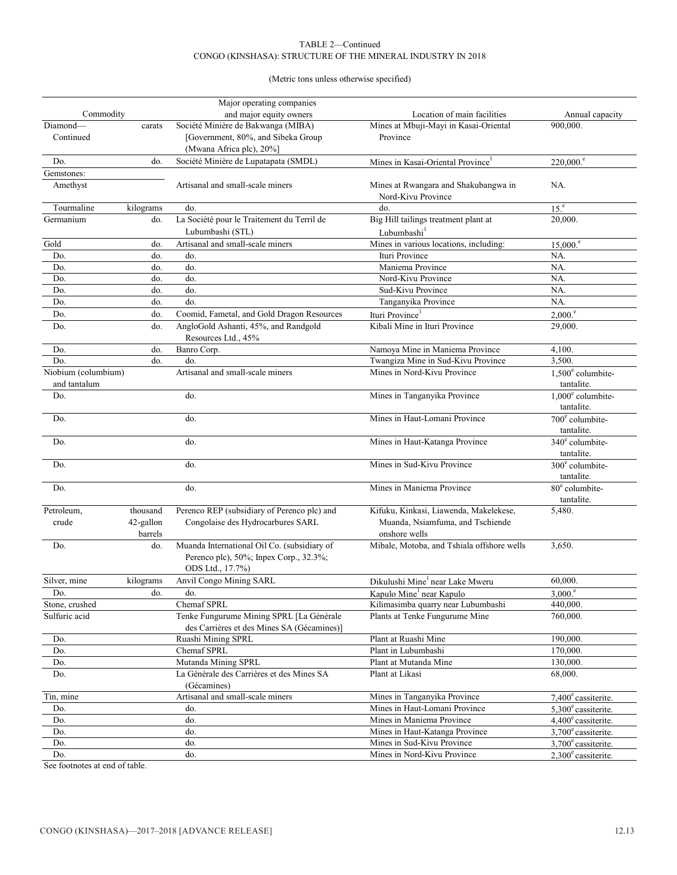# TABLE 2—Continued CONGO (KINSHASA): STRUCTURE OF THE MINERAL INDUSTRY IN 2018

(Metric tons unless otherwise specified)

|                     |                      | Major operating companies                                                                                 |                                                            |                                        |
|---------------------|----------------------|-----------------------------------------------------------------------------------------------------------|------------------------------------------------------------|----------------------------------------|
| Commodity           |                      | and major equity owners                                                                                   | Location of main facilities                                | Annual capacity                        |
| Diamond-            | carats               | Société Minière de Bakwanga (MIBA)                                                                        | Mines at Mbuji-Mayi in Kasai-Oriental                      | 900,000.                               |
| Continued           |                      | [Government, 80%, and Sibeka Group                                                                        | Province                                                   |                                        |
|                     |                      | (Mwana Africa plc), 20%]                                                                                  |                                                            |                                        |
| Do.                 | do.                  | Société Minière de Lupatapata (SMDL)                                                                      | Mines in Kasai-Oriental Province <sup>1</sup>              | $220,000$ . $^{\circ}$                 |
| Gemstones:          |                      |                                                                                                           |                                                            |                                        |
| Amethyst            |                      | Artisanal and small-scale miners                                                                          | Mines at Rwangara and Shakubangwa in<br>Nord-Kivu Province | NA.                                    |
| Tourmaline          | kilograms            | do.                                                                                                       | do.                                                        | 15 <sup>e</sup>                        |
| Germanium           | do.                  | La Société pour le Traitement du Terril de                                                                | Big Hill tailings treatment plant at                       | 20,000.                                |
|                     |                      | Lubumbashi (STL)                                                                                          | Lubumbashi <sup>1</sup>                                    |                                        |
| Gold                | do.                  | Artisanal and small-scale miners                                                                          | Mines in various locations, including:                     | 15,000. <sup>e</sup>                   |
| Do.                 | do.                  | do.                                                                                                       | Ituri Province                                             | NA.                                    |
| Do.                 | do.                  | do.                                                                                                       | Maniema Province                                           | NA.                                    |
| Do.                 | do.                  | do.                                                                                                       | Nord-Kivu Province                                         | NA.                                    |
| Do.                 | do.                  | do.                                                                                                       | Sud-Kivu Province                                          | NA.                                    |
| Do.                 | do.                  | do.                                                                                                       | Tanganyika Province                                        | NA.                                    |
| Do.                 | do.                  | Coomid, Fametal, and Gold Dragon Resources                                                                | Ituri Province <sup>1</sup>                                | $2,000$ .                              |
| Do.                 | do.                  | AngloGold Ashanti, 45%, and Randgold<br>Resources Ltd., 45%                                               | Kibali Mine in Ituri Province                              | 29,000.                                |
| Do.                 | do.                  | Banro Corp.                                                                                               | Namoya Mine in Maniema Province                            | 4,100.                                 |
| Do.                 | do.                  | do.                                                                                                       | Twangiza Mine in Sud-Kivu Province                         | 3.500.                                 |
| Niobium (columbium) |                      | Artisanal and small-scale miners                                                                          | Mines in Nord-Kivu Province                                | $1,500^{\circ}$ columbite-             |
| and tantalum        |                      |                                                                                                           |                                                            | tantalite.                             |
| Do.                 |                      | do.                                                                                                       | Mines in Tanganyika Province                               | $1.000e$ columbite-<br>tantalite.      |
| Do.                 |                      | do.                                                                                                       | Mines in Haut-Lomani Province                              | 700° columbite-<br>tantalite.          |
| Do.                 |                      | do.                                                                                                       | Mines in Haut-Katanga Province                             | $340^{\circ}$ columbite-<br>tantalite. |
| Do.                 |                      | do.                                                                                                       | Mines in Sud-Kivu Province                                 | $300^{\circ}$ columbite-<br>tantalite. |
| Do.                 |                      | do.                                                                                                       | Mines in Maniema Province                                  | $80^{\circ}$ columbite-<br>tantalite.  |
| Petroleum,          | thousand             | Perenco REP (subsidiary of Perenco plc) and                                                               | Kifuku, Kinkasi, Liawenda, Makelekese,                     | 5,480.                                 |
| crude               | 42-gallon<br>barrels | Congolaise des Hydrocarbures SARL                                                                         | Muanda, Nsiamfuma, and Tschiende<br>onshore wells          |                                        |
| Do.                 | do.                  | Muanda International Oil Co. (subsidiary of<br>Perenco plc), 50%; Inpex Corp., 32.3%;<br>ODS Ltd., 17.7%) | Mibale, Motoba, and Tshiala offshore wells                 | 3,650.                                 |
| Silver, mine        | kilograms            | <b>Anvil Congo Mining SARL</b>                                                                            | Dikulushi Mine <sup>1</sup> near Lake Mweru                | 60,000.                                |
| Do.                 | do.                  | do.                                                                                                       | Kapulo Mine <sup>1</sup> near Kapulo                       | 3,000. <sup>e</sup>                    |
| Stone, crushed      |                      | Chemaf SPRL                                                                                               | Kilimasimba quarry near Lubumbashi                         | 440,000.                               |
| Sulfuric acid       |                      | Tenke Fungurume Mining SPRL [La Générale<br>des Carrières et des Mines SA (Gécamines)]                    | Plants at Tenke Fungurume Mine                             | 760,000.                               |
| Do.                 |                      | Ruashi Mining SPRL                                                                                        | Plant at Ruashi Mine                                       | 190,000.                               |
| Do.                 |                      | Chemaf SPRL                                                                                               | Plant in Lubumbashi                                        | 170,000.                               |
| Do.                 |                      | Mutanda Mining SPRL                                                                                       | Plant at Mutanda Mine                                      | 130,000.                               |
| Do.                 |                      | La Générale des Carrières et des Mines SA<br>(Gécamines)                                                  | Plant at Likasi                                            | 68,000.                                |
| Tin, mine           |                      | Artisanal and small-scale miners                                                                          | Mines in Tanganyika Province                               | $7,400^{\circ}$ cassiterite.           |
| Do.                 |                      | do.                                                                                                       | Mines in Haut-Lomani Province                              | $5,300^{\circ}$ cassiterite.           |
| Do.                 |                      | do.                                                                                                       | Mines in Maniema Province                                  | $4,400^{\circ}$ cassiterite.           |
| Do.                 |                      | do.                                                                                                       | Mines in Haut-Katanga Province                             | $3,700^{\circ}$ cassiterite.           |
| Do.                 |                      | do.                                                                                                       | Mines in Sud-Kivu Province                                 | $3,700^{\circ}$ cassiterite.           |
| Do.                 |                      | do.                                                                                                       | Mines in Nord-Kivu Province                                | $2,300^{\circ}$ cassiterite.           |

See footnotes at end of table.